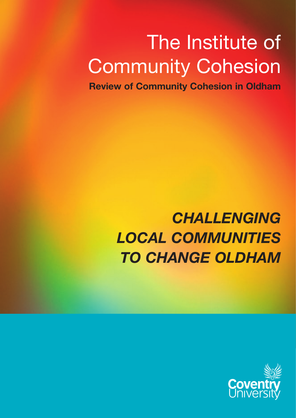# The Institute of Community Cohesion

**Review of Community Cohesion in Oldham**

## **CHALLENGING** *local communities to change Oldham*

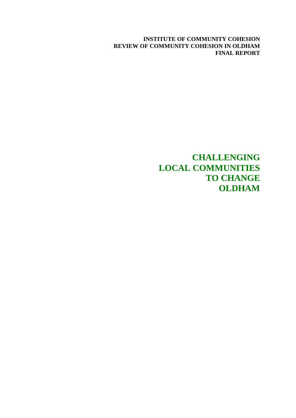**INSTITUTE OF COMMUNITY COHESION REVIEW OF COMMUNITY COHESION IN OLDHAM FINAL REPORT** 

> **CHALLENGING LOCAL COMMUNITIES TO CHANGE OLDHAM**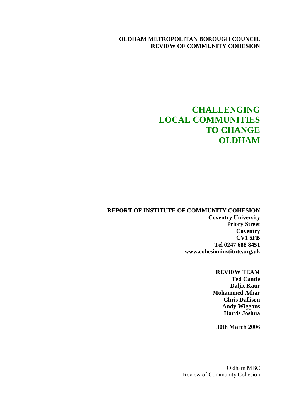#### **OLDHAM METROPOLITAN BOROUGH COUNCIL REVIEW OF COMMUNITY COHESION**

### **CHALLENGING LOCAL COMMUNITIES TO CHANGE OLDHAM**

**REPORT OF INSTITUTE OF COMMUNITY COHESION Coventry University Priory Street Coventry CV1 5FB Tel 0247 688 8451 www.cohesioninstitute.org.uk** 

> **REVIEW TEAM Ted Cantle Daljit Kaur Mohammed Athar Chris Dallison Andy Wiggans Harris Joshua**

**30th March 2006** 

Oldham MBC Review of Community Cohesion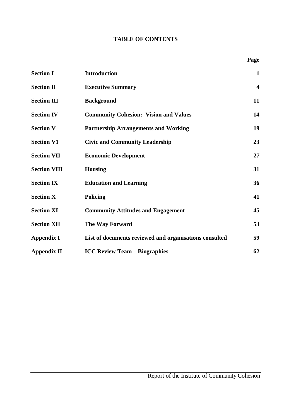#### **TABLE OF CONTENTS**

| <b>Section I</b>    | <b>Introduction</b>                                    | $\mathbf{1}$            |
|---------------------|--------------------------------------------------------|-------------------------|
| <b>Section II</b>   | <b>Executive Summary</b>                               | $\overline{\mathbf{4}}$ |
| <b>Section III</b>  | <b>Background</b>                                      | 11                      |
| <b>Section IV</b>   | <b>Community Cohesion: Vision and Values</b>           | 14                      |
| <b>Section V</b>    | <b>Partnership Arrangements and Working</b>            | 19                      |
| <b>Section V1</b>   | <b>Civic and Community Leadership</b>                  | 23                      |
| <b>Section VII</b>  | <b>Economic Development</b>                            | 27                      |
| <b>Section VIII</b> | <b>Housing</b>                                         | 31                      |
| <b>Section IX</b>   | <b>Education and Learning</b>                          | 36                      |
| <b>Section X</b>    | <b>Policing</b>                                        | 41                      |
| <b>Section XI</b>   | <b>Community Attitudes and Engagement</b>              | 45                      |
| <b>Section XII</b>  | The Way Forward                                        | 53                      |
| <b>Appendix I</b>   | List of documents reviewed and organisations consulted | 59                      |
| <b>Appendix II</b>  | <b>ICC Review Team - Biographies</b>                   | 62                      |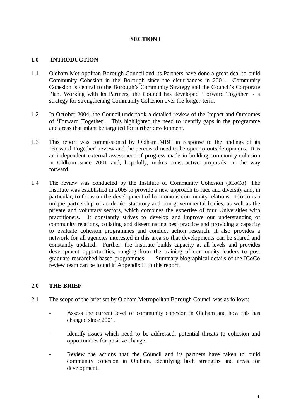#### **SECTION I**

#### **1.0 INTRODUCTION**

- 1.1 Oldham Metropolitan Borough Council and its Partners have done a great deal to build Community Cohesion in the Borough since the disturbances in 2001. Community Cohesion is central to the Borough's Community Strategy and the Council's Corporate Plan. Working with its Partners, the Council has developed 'Forward Together' - a strategy for strengthening Community Cohesion over the longer-term.
- 1.2 In October 2004, the Council undertook a detailed review of the Impact and Outcomes of 'Forward Together'. This highlighted the need to identify gaps in the programme and areas that might be targeted for further development.
- 1.3 This report was commissioned by Oldham MBC in response to the findings of its 'Forward Together' review and the perceived need to be open to outside opinions. It is an independent external assessment of progress made in building community cohesion in Oldham since 2001 and, hopefully, makes constructive proposals on the way forward.
- 1.4 The review was conducted by the Institute of Community Cohesion (ICoCo). The Institute was established in 2005 to provide a new approach to race and diversity and, in particular, to focus on the development of harmonious community relations. ICoCo is a unique partnership of academic, statutory and non-governmental bodies, as well as the private and voluntary sectors, which combines the expertise of four Universities with practitioners. It constantly strives to develop and improve our understanding of community relations, collating and disseminating best practice and providing a capacity to evaluate cohesion programmes and conduct action research. It also provides a network for all agencies interested in this area so that developments can be shared and constantly updated. Further, the Institute builds capacity at all levels and provides development opportunities, ranging from the training of community leaders to post graduate researched based programmes. Summary biographical details of the ICoCo review team can be found in Appendix II to this report.

#### **2.0 THE BRIEF**

- 2.1 The scope of the brief set by Oldham Metropolitan Borough Council was as follows:
	- Assess the current level of community cohesion in Oldham and how this has changed since 2001.
	- Identify issues which need to be addressed, potential threats to cohesion and opportunities for positive change.
	- Review the actions that the Council and its partners have taken to build community cohesion in Oldham, identifying both strengths and areas for development.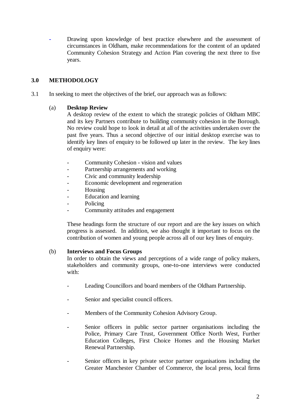**-** Drawing upon knowledge of best practice elsewhere and the assessment of circumstances in Oldham, make recommendations for the content of an updated Community Cohesion Strategy and Action Plan covering the next three to five years.

#### **3.0 METHODOLOGY**

3.1 In seeking to meet the objectives of the brief, our approach was as follows:

#### (a) **Desktop Review**

 A desktop review of the extent to which the strategic policies of Oldham MBC and its key Partners contribute to building community cohesion in the Borough. No review could hope to look in detail at all of the activities undertaken over the past five years. Thus a second objective of our initial desktop exercise was to identify key lines of enquiry to be followed up later in the review. The key lines of enquiry were:

- Community Cohesion vision and values
- Partnership arrangements and working
- Civic and community leadership
- Economic development and regeneration
- Housing
- Education and learning
- Policing
- Community attitudes and engagement

These headings form the structure of our report and are the key issues on which progress is assessed. In addition, we also thought it important to focus on the contribution of women and young people across all of our key lines of enquiry.

#### (b) **Interviews and Focus Groups**

 In order to obtain the views and perceptions of a wide range of policy makers, stakeholders and community groups, one-to-one interviews were conducted with:

- Leading Councillors and board members of the Oldham Partnership.
- Senior and specialist council officers.
- Members of the Community Cohesion Advisory Group.
- Senior officers in public sector partner organisations including the Police, Primary Care Trust, Government Office North West, Further Education Colleges, First Choice Homes and the Housing Market Renewal Partnership.
- Senior officers in key private sector partner organisations including the Greater Manchester Chamber of Commerce, the local press, local firms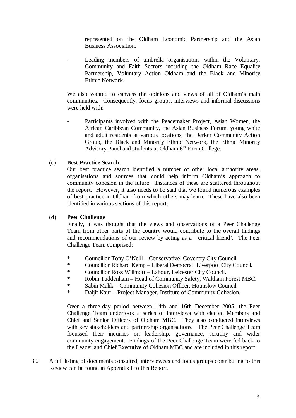represented on the Oldham Economic Partnership and the Asian Business Association.

Leading members of umbrella organisations within the Voluntary, Community and Faith Sectors including the Oldham Race Equality Partnership, Voluntary Action Oldham and the Black and Minority Ethnic Network.

We also wanted to canvass the opinions and views of all of Oldham's main communities. Consequently, focus groups, interviews and informal discussions were held with:

Participants involved with the Peacemaker Project, Asian Women, the African Caribbean Community, the Asian Business Forum, young white and adult residents at various locations, the Derker Community Action Group, the Black and Minority Ethnic Network, the Ethnic Minority Advisory Panel and students at Oldham  $6<sup>th</sup>$  Form College.

#### (c) **Best Practice Search**

Our best practice search identified a number of other local authority areas, organisations and sources that could help inform Oldham's approach to community cohesion in the future. Instances of these are scattered throughout the report. However, it also needs to be said that we found numerous examples of best practice in Oldham from which others may learn. These have also been identified in various sections of this report.

#### (d) **Peer Challenge**

 Finally, it was thought that the views and observations of a Peer Challenge Team from other parts of the country would contribute to the overall findings and recommendations of our review by acting as a 'critical friend'. The Peer Challenge Team comprised:

- \* Councillor Tony O'Neill Conservative, Coventry City Council.
- \* Councillor Richard Kemp Liberal Democrat, Liverpool City Council.
- \* Councillor Ross Willmott Labour, Leicester City Council.
- \* Robin Tuddenham Head of Community Safety, Waltham Forest MBC.
- \* Sabin Malik Community Cohesion Officer, Hounslow Council.<br>\* Deliit Keur, Project Menager, Institute of Community Cohesion
- Daljit Kaur Project Manager, Institute of Community Cohesion.

 Over a three-day period between 14th and 16th December 2005, the Peer Challenge Team undertook a series of interviews with elected Members and Chief and Senior Officers of Oldham MBC. They also conducted interviews with key stakeholders and partnership organisations. The Peer Challenge Team focussed their inquiries on leadership, governance, scrutiny and wider community engagement. Findings of the Peer Challenge Team were fed back to the Leader and Chief Executive of Oldham MBC and are included in this report.

3.2 A full listing of documents consulted, interviewees and focus groups contributing to this Review can be found in Appendix I to this Report.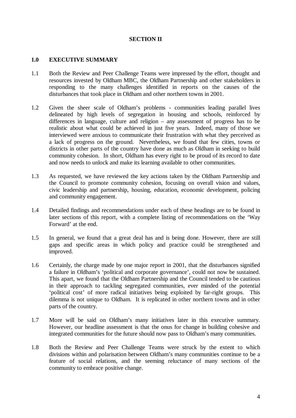#### **SECTION II**

#### **1.0 EXECUTIVE SUMMARY**

- 1.1 Both the Review and Peer Challenge Teams were impressed by the effort, thought and resources invested by Oldham MBC, the Oldham Partnership and other stakeholders in responding to the many challenges identified in reports on the causes of the disturbances that took place in Oldham and other northern towns in 2001.
- 1.2 Given the sheer scale of Oldham's problems communities leading parallel lives delineated by high levels of segregation in housing and schools, reinforced by differences in language, culture and religion – any assessment of progress has to be realistic about what could be achieved in just five years. Indeed, many of those we interviewed were anxious to communicate their frustration with what they perceived as a lack of progress on the ground. Nevertheless, we found that few cities, towns or districts in other parts of the country have done as much as Oldham in seeking to build community cohesion. In short, Oldham has every right to be proud of its record to date and now needs to unlock and make its learning available to other communities.
- 1.3 As requested, we have reviewed the key actions taken by the Oldham Partnership and the Council to promote community cohesion, focusing on overall vision and values, civic leadership and partnership, housing, education, economic development, policing and community engagement.
- 1.4 Detailed findings and recommendations under each of these headings are to be found in later sections of this report, with a complete listing of recommendations on the 'Way Forward' at the end.
- 1.5 In general, we found that a great deal has and is being done. However, there are still gaps and specific areas in which policy and practice could be strengthened and improved.
- 1.6 Certainly, the charge made by one major report in 2001, that the disturbances signified a failure in Oldham's 'political and corporate governance', could not now be sustained. This apart, we found that the Oldham Partnership and the Council tended to be cautious in their approach to tackling segregated communities, ever minded of the potential 'political cost' of more radical initiatives being exploited by far-right groups. This dilemma is not unique to Oldham. It is replicated in other northern towns and in other parts of the country.
- 1.7 More will be said on Oldham's many initiatives later in this executive summary. However, our headline assessment is that the onus for change in building cohesive and integrated communities for the future should now pass to Oldham's many communities.
- 1.8 Both the Review and Peer Challenge Teams were struck by the extent to which divisions within and polarisation between Oldham's many communities continue to be a feature of social relations, and the seeming reluctance of many sections of the community to embrace positive change.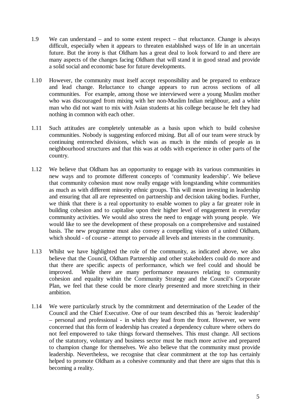- 1.9 We can understand and to some extent respect that reluctance. Change is always difficult, especially when it appears to threaten established ways of life in an uncertain future. But the irony is that Oldham has a great deal to look forward to and there are many aspects of the changes facing Oldham that will stand it in good stead and provide a solid social and economic base for future developments.
- 1.10 However, the community must itself accept responsibility and be prepared to embrace and lead change. Reluctance to change appears to run across sections of all communities. For example, among those we interviewed were a young Muslim mother who was discouraged from mixing with her non-Muslim Indian neighbour, and a white man who did not want to mix with Asian students at his college because he felt they had nothing in common with each other.
- 1.11 Such attitudes are completely untenable as a basis upon which to build cohesive communities. Nobody is suggesting enforced mixing. But all of our team were struck by continuing entrenched divisions, which was as much in the minds of people as in neighbourhood structures and that this was at odds with experience in other parts of the country.
- 1.12 We believe that Oldham has an opportunity to engage with its various communities in new ways and to promote different concepts of 'community leadership'. We believe that community cohesion must now really engage with longstanding white communities as much as with different minority ethnic groups. This will mean investing in leadership and ensuring that all are represented on partnership and decision taking bodies. Further, we think that there is a real opportunity to enable women to play a far greater role in building cohesion and to capitalise upon their higher level of engagement in everyday community activities. We would also stress the need to engage with young people. We would like to see the development of these proposals on a comprehensive and sustained basis. The new programme must also convey a compelling vision of a united Oldham, which should - of course - attempt to pervade all levels and interests in the community.
- 1.13 Whilst we have highlighted the role of the community, as indicated above, we also believe that the Council, Oldham Partnership and other stakeholders could do more and that there are specific aspects of performance, which we feel could and should be improved. While there are many performance measures relating to community cohesion and equality within the Community Strategy and the Council's Corporate Plan, we feel that these could be more clearly presented and more stretching in their ambition.
- 1.14 We were particularly struck by the commitment and determination of the Leader of the Council and the Chief Executive. One of our team described this as 'heroic leadership' – personal and professional - in which they lead from the front. However, we were concerned that this form of leadership has created a dependency culture where others do not feel empowered to take things forward themselves. This must change. All sections of the statutory, voluntary and business sector must be much more active and prepared to champion change for themselves. We also believe that the community must provide leadership. Nevertheless, we recognise that clear commitment at the top has certainly helped to promote Oldham as a cohesive community and that there are signs that this is becoming a reality.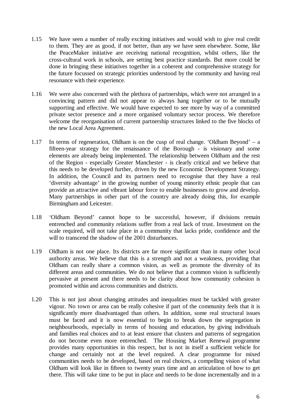- 1.15 We have seen a number of really exciting initiatives and would wish to give real credit to them. They are as good, if not better, than any we have seen elsewhere. Some, like the PeaceMaker initiative are receiving national recognition, whilst others, like the cross-cultural work in schools, are setting best practice standards. But more could be done in bringing these initiatives together in a coherent and comprehensive strategy for the future focussed on strategic priorities understood by the community and having real resonance with their experience.
- 1.16 We were also concerned with the plethora of partnerships, which were not arranged in a convincing pattern and did not appear to always hang together or to be mutually supporting and effective. We would have expected to see more by way of a committed private sector presence and a more organised voluntary sector process. We therefore welcome the reorganisation of current partnership structures linked to the five blocks of the new Local Area Agreement.
- 1.17 In terms of regeneration, Oldham is on the cusp of real change. 'Oldham Beyond' a fifteen-year strategy for the renaissance of the Borough - is visionary and some elements are already being implemented. The relationship between Oldham and the rest of the Region - especially Greater Manchester - is clearly critical and we believe that this needs to be developed further, driven by the new Economic Development Strategy. In addition, the Council and its partners need to recognise that they have a real 'diversity advantage' in the growing number of young minority ethnic people that can provide an attractive and vibrant labour force to enable businesses to grow and develop. Many partnerships in other part of the country are already doing this, for example Birmingham and Leicester.
- 1.18 'Oldham Beyond' cannot hope to be successful, however, if divisions remain entrenched and community relations suffer from a real lack of trust. Investment on the scale required, will not take place in a community that lacks pride, confidence and the will to transcend the shadow of the 2001 disturbances.
- 1.19 Oldham is not one place. Its districts are far more significant than in many other local authority areas. We believe that this is a strength and not a weakness, providing that Oldham can really share a common vision, as well as promote the diversity of its different areas and communities. We do not believe that a common vision is sufficiently pervasive at present and there needs to be clarity about how community cohesion is promoted within and across communities and districts.
- 1.20 This is not just about changing attitudes and inequalities must be tackled with greater vigour. No town or area can be really cohesive if part of the community feels that it is significantly more disadvantaged than others. In addition, some real structural issues must be faced and it is now essential to begin to break down the segregation in neighbourhoods, especially in terms of housing and education, by giving individuals and families real choices and to at least ensure that clusters and patterns of segregation do not become even more entrenched. The Housing Market Renewal programme provides many opportunities in this respect, but is not in itself a sufficient vehicle for change and certainly not at the level required. A clear programme for mixed communities needs to be developed, based on real choices, a compelling vision of what Oldham will look like in fifteen to twenty years time and an articulation of how to get there. This will take time to be put in place and needs to be done incrementally and in a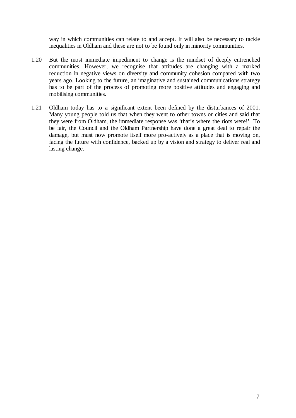way in which communities can relate to and accept. It will also be necessary to tackle inequalities in Oldham and these are not to be found only in minority communities.

- 1.20 But the most immediate impediment to change is the mindset of deeply entrenched communities. However, we recognise that attitudes are changing with a marked reduction in negative views on diversity and community cohesion compared with two years ago. Looking to the future, an imaginative and sustained communications strategy has to be part of the process of promoting more positive attitudes and engaging and mobilising communities.
- 1.21 Oldham today has to a significant extent been defined by the disturbances of 2001. Many young people told us that when they went to other towns or cities and said that they were from Oldham, the immediate response was 'that's where the riots were!' To be fair, the Council and the Oldham Partnership have done a great deal to repair the damage, but must now promote itself more pro-actively as a place that is moving on, facing the future with confidence, backed up by a vision and strategy to deliver real and lasting change.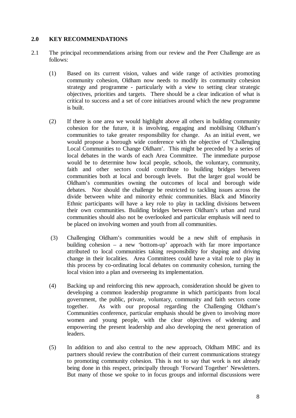#### **2.0 KEY RECOMMENDATIONS**

- 2.1 The principal recommendations arising from our review and the Peer Challenge are as follows:
	- (1) Based on its current vision, values and wide range of activities promoting community cohesion, Oldham now needs to modify its community cohesion strategy and programme - particularly with a view to setting clear strategic objectives, priorities and targets. There should be a clear indication of what is critical to success and a set of core initiatives around which the new programme is built.
	- (2) If there is one area we would highlight above all others in building community cohesion for the future, it is involving, engaging and mobilising Oldham's communities to take greater responsibility for change. As an initial event, we would propose a borough wide conference with the objective of 'Challenging Local Communities to Change Oldham'. This might be preceded by a series of local debates in the wards of each Area Committee. The immediate purpose would be to determine how local people, schools, the voluntary, community, faith and other sectors could contribute to building bridges between communities both at local and borough levels. But the larger goal would be Oldham's communities owning the outcomes of local and borough wide debates. Nor should the challenge be restricted to tackling issues across the divide between white and minority ethnic communities. Black and Minority Ethnic participants will have a key role to play in tackling divisions between their own communities. Building bridges between Oldham's urban and rural communities should also not be overlooked and particular emphasis will need to be placed on involving women and youth from all communities.
	- (3) Challenging Oldham's communities would be a new shift of emphasis in building cohesion – a new 'bottom-up' approach with far more importance attributed to local communities taking responsibility for shaping and driving change in their localities. Area Committees could have a vital role to play in this process by co-ordinating local debates on community cohesion, turning the local vision into a plan and overseeing its implementation.
	- (4) Backing up and reinforcing this new approach, consideration should be given to developing a common leadership programme in which participants from local government, the public, private, voluntary, community and faith sectors come together. As with our proposal regarding the Challenging Oldham's Communities conference, particular emphasis should be given to involving more women and young people, with the clear objectives of widening and empowering the present leadership and also developing the next generation of leaders.
	- (5) In addition to and also central to the new approach, Oldham MBC and its partners should review the contribution of their current communications strategy to promoting community cohesion. This is not to say that work is not already being done in this respect, principally through 'Forward Together' Newsletters. But many of those we spoke to in focus groups and informal discussions were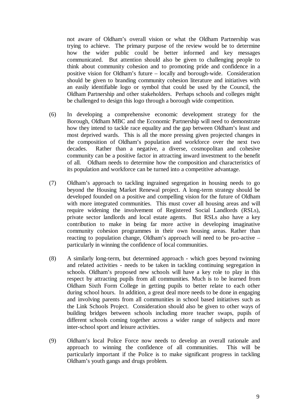not aware of Oldham's overall vision or what the Oldham Partnership was trying to achieve. The primary purpose of the review would be to determine how the wider public could be better informed and key messages communicated. But attention should also be given to challenging people to think about community cohesion and to promoting pride and confidence in a positive vision for Oldham's future – locally and borough-wide. Consideration should be given to branding community cohesion literature and initiatives with an easily identifiable logo or symbol that could be used by the Council, the Oldham Partnership and other stakeholders. Perhaps schools and colleges might be challenged to design this logo through a borough wide competition.

- (6) In developing a comprehensive economic development strategy for the Borough, Oldham MBC and the Economic Partnership will need to demonstrate how they intend to tackle race equality and the gap between Oldham's least and most deprived wards. This is all the more pressing given projected changes in the composition of Oldham's population and workforce over the next two decades. Rather than a negative, a diverse, cosmopolitan and cohesive community can be a positive factor in attracting inward investment to the benefit of all. Oldham needs to determine how the composition and characteristics of its population and workforce can be turned into a competitive advantage.
- (7) Oldham's approach to tackling ingrained segregation in housing needs to go beyond the Housing Market Renewal project. A long-term strategy should be developed founded on a positive and compelling vision for the future of Oldham with more integrated communities. This must cover all housing areas and will require widening the involvement of Registered Social Landlords (RSLs), private sector landlords and local estate agents. But RSLs also have a key contribution to make in being far more active in developing imaginative community cohesion programmes in their own housing areas. Rather than reacting to population change, Oldham's approach will need to be pro-active – particularly in winning the confidence of local communities.
- (8) A similarly long-term, but determined approach which goes beyond twinning and related activities - needs to be taken in tackling continuing segregation in schools. Oldham's proposed new schools will have a key role to play in this respect by attracting pupils from all communities. Much is to be learned from Oldham Sixth Form College in getting pupils to better relate to each other during school hours. In addition, a great deal more needs to be done in engaging and involving parents from all communities in school based initiatives such as the Link Schools Project. Consideration should also be given to other ways of building bridges between schools including more teacher swaps, pupils of different schools coming together across a wider range of subjects and more inter-school sport and leisure activities.
- (9) Oldham's local Police Force now needs to develop an overall rationale and approach to winning the confidence of all communities. This will be particularly important if the Police is to make significant progress in tackling Oldham's youth gangs and drugs problem.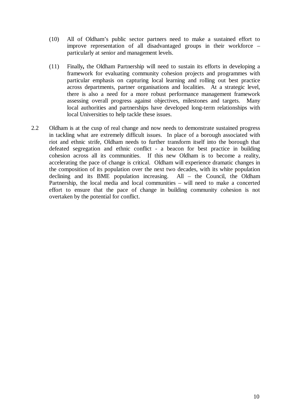- (10) All of Oldham's public sector partners need to make a sustained effort to improve representation of all disadvantaged groups in their workforce – particularly at senior and management levels.
- (11) Finally**,** the Oldham Partnership will need to sustain its efforts in developing a framework for evaluating community cohesion projects and programmes with particular emphasis on capturing local learning and rolling out best practice across departments, partner organisations and localities. At a strategic level, there is also a need for a more robust performance management framework assessing overall progress against objectives, milestones and targets. Many local authorities and partnerships have developed long-term relationships with local Universities to help tackle these issues.
- 2.2 Oldham is at the cusp of real change and now needs to demonstrate sustained progress in tackling what are extremely difficult issues. In place of a borough associated with riot and ethnic strife, Oldham needs to further transform itself into the borough that defeated segregation and ethnic conflict - a beacon for best practice in building cohesion across all its communities. If this new Oldham is to become a reality, accelerating the pace of change is critical. Oldham will experience dramatic changes in the composition of its population over the next two decades, with its white population declining and its BME population increasing. All – the Council, the Oldham Partnership, the local media and local communities – will need to make a concerted effort to ensure that the pace of change in building community cohesion is not overtaken by the potential for conflict.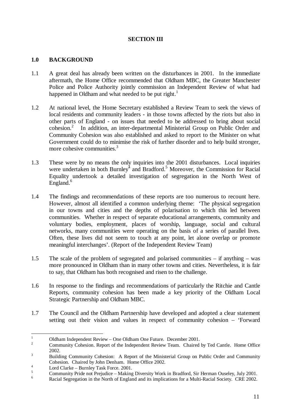#### **SECTION III**

#### **1.0 BACKGROUND**

- 1.1 A great deal has already been written on the disturbances in 2001. In the immediate aftermath, the Home Office recommended that Oldham MBC, the Greater Manchester Police and Police Authority jointly commission an Independent Review of what had happened in Oldham and what needed to be put right.<sup>1</sup>
- 1.2 At national level, the Home Secretary established a Review Team to seek the views of local residents and community leaders - in those towns affected by the riots but also in other parts of England - on issues that needed to be addressed to bring about social  $\overline{\text{cohesion.}}^2$  In addition, an inter-departmental Ministerial Group on Public Order and Community Cohesion was also established and asked to report to the Minister on what Government could do to minimise the risk of further disorder and to help build stronger, more cohesive communities. $3$
- 1.3 These were by no means the only inquiries into the 2001 disturbances. Local inquiries were undertaken in both Burnley<sup>4</sup> and Bradford.<sup>5</sup> Moreover, the Commission for Racial Equality undertook a detailed investigation of segregation in the North West of  $Eneland.<sup>6</sup>$
- 1.4 The findings and recommendations of these reports are too numerous to recount here. However, almost all identified a common underlying theme: 'The physical segregation in our towns and cities and the depths of polarisation to which this led between communities. Whether in respect of separate educational arrangements, community and voluntary bodies, employment, places of worship, language, social and cultural networks, many communities were operating on the basis of a series of parallel lives. Often, these lives did not seem to touch at any point, let alone overlap or promote meaningful interchanges'. (Report of the Independent Review Team)
- 1.5 The scale of the problem of segregated and polarised communities if anything was more pronounced in Oldham than in many other towns and cities. Nevertheless, it is fair to say, that Oldham has both recognised and risen to the challenge.
- 1.6 In response to the findings and recommendations of particularly the Ritchie and Cantle Reports, community cohesion has been made a key priority of the Oldham Local Strategic Partnership and Oldham MBC.
- 1.7 The Council and the Oldham Partnership have developed and adopted a clear statement setting out their vision and values in respect of community cohesion – 'Forward

 $\frac{1}{1}$  $\frac{1}{2}$  Oldham Independent Review – One Oldham One Future. December 2001.

Community Cohesion. Report of the Independent Review Team. Chaired by Ted Cantle. Home Office  $2002.$ 

Building Community Cohesion: A Report of the Ministerial Group on Public Order and Community Cohesion. Chaired by John Denham. Home Office 2002.

Lord Clarke – Burnley Task Force. 2001.

<sup>5</sup> Community Pride not Prejudice – Making Diversity Work in Bradford, Sir Herman Ouseley, July 2001.

<sup>6</sup> Racial Segregation in the North of England and its implications for a Multi-Racial Society. CRE 2002.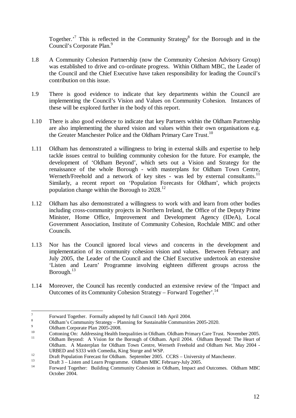Together.<sup>7</sup> This is reflected in the Community Strategy<sup>8</sup> for the Borough and in the Council's Corporate Plan.<sup>9</sup>

- 1.8 A Community Cohesion Partnership (now the Community Cohesion Advisory Group) was established to drive and co-ordinate progress. Within Oldham MBC, the Leader of the Council and the Chief Executive have taken responsibility for leading the Council's contribution on this issue.
- 1.9 There is good evidence to indicate that key departments within the Council are implementing the Council's Vision and Values on Community Cohesion. Instances of these will be explored further in the body of this report.
- 1.10 There is also good evidence to indicate that key Partners within the Oldham Partnership are also implementing the shared vision and values within their own organisations e.g. the Greater Manchester Police and the Oldham Primary Care Trust.<sup>10</sup>
- 1.11 Oldham has demonstrated a willingness to bring in external skills and expertise to help tackle issues central to building community cohesion for the future. For example, the development of 'Oldham Beyond', which sets out a Vision and Strategy for the renaissance of the whole Borough - with masterplans for Oldham Town Centre, Werneth/Freehold and a network of key sites - was led by external consultants.<sup>11</sup> Similarly, a recent report on 'Population Forecasts for Oldham', which projects population change within the Borough to 2028.<sup>12</sup>
- 1.12 Oldham has also demonstrated a willingness to work with and learn from other bodies including cross-community projects in Northern Ireland, the Office of the Deputy Prime Minister, Home Office, Improvement and Development Agency (IDeA), Local Government Association, Institute of Community Cohesion, Rochdale MBC and other Councils.
- 1.13 Nor has the Council ignored local views and concerns in the development and implementation of its community cohesion vision and values. Between February and July 2005, the Leader of the Council and the Chief Executive undertook an extensive 'Listen and Learn' Programme involving eighteen different groups across the Borough. $13$
- 1.14 Moreover, the Council has recently conducted an extensive review of the 'Impact and Outcomes of its Community Cohesion Strategy – Forward Together'.<sup>14</sup>

<sup>-&</sup>lt;br>7 Forward Together. Formally adopted by full Council 14th April 2004.

<sup>8</sup> Oldham's Community Strategy – Planning for Sustainable Communities 2005-2020.

 $\overline{9}$  $^{9}$  Oldham Corporate Plan 2005-2008.

<sup>&</sup>lt;sup>10</sup> Cottoning On: Addressing Health Inequalities in Oldham. Oldham Primary Care Trust. November 2005.<br><sup>11</sup> Oldham Beyond: A Vision for the Borough of Oldham. April 2004. Oldham Beyond: The Heart of Oldham. A Masterplan for Oldham Town Centre, Werneth Freehold and Oldham Net. May 2004 -

 $\frac{12}{13}$  Draft Population Forecast for Oldham. September 2005. CCRS – University of Manchester.

 $13$  Draft 3 – Listen and Learn Programme. Oldham MBC February-July 2005.

<sup>14</sup> Forward Together: Building Community Cohesion in Oldham, Impact and Outcomes. Oldham MBC October 2004.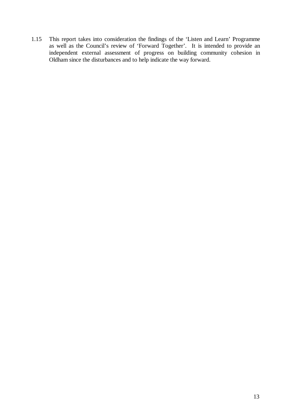1.15 This report takes into consideration the findings of the 'Listen and Learn' Programme as well as the Council's review of 'Forward Together'. It is intended to provide an independent external assessment of progress on building community cohesion in Oldham since the disturbances and to help indicate the way forward.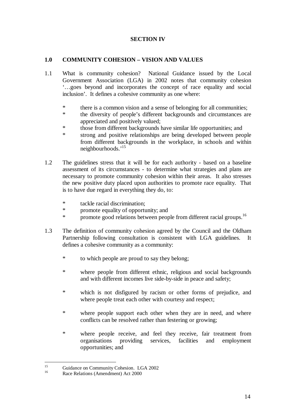#### **SECTION IV**

#### **1.0 COMMUNITY COHESION – VISION AND VALUES**

- 1.1 What is community cohesion? National Guidance issued by the Local Government Association (LGA) in 2002 notes that community cohesion '…goes beyond and incorporates the concept of race equality and social inclusion'. It defines a cohesive community as one where:
	- \* there is a common vision and a sense of belonging for all communities;
	- \* the diversity of people's different backgrounds and circumstances are appreciated and positively valued;
	- \* those from different backgrounds have similar life opportunities; and
	- \* strong and positive relationships are being developed between people from different backgrounds in the workplace, in schools and within neighbourhoods.'15
- 1.2 The guidelines stress that it will be for each authority based on a baseline assessment of its circumstances - to determine what strategies and plans are necessary to promote community cohesion within their areas. It also stresses the new positive duty placed upon authorities to promote race equality. That is to have due regard in everything they do, to:
	- \* tackle racial discrimination;
	- promote equality of opportunity; and
	- \* promote good relations between people from different racial groups.<sup>16</sup>
- 1.3 The definition of community cohesion agreed by the Council and the Oldham Partnership following consultation is consistent with LGA guidelines. It defines a cohesive community as a community:
	- \* to which people are proud to say they belong;
	- \* where people from different ethnic, religious and social backgrounds and with different incomes live side-by-side in peace and safety;
	- \* which is not disfigured by racism or other forms of prejudice, and where people treat each other with courtesy and respect;
	- \* where people support each other when they are in need, and where conflicts can be resolved rather than festering or growing;
	- \* where people receive, and feel they receive, fair treatment from organisations providing services, facilities and employment opportunities; and

 $15$ <sup>15</sup> Guidance on Community Cohesion. LGA 2002

Race Relations (Amendment) Act 2000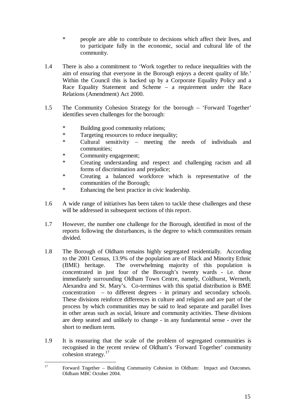- \* people are able to contribute to decisions which affect their lives, and to participate fully in the economic, social and cultural life of the community.
- 1.4 There is also a commitment to 'Work together to reduce inequalities with the aim of ensuring that everyone in the Borough enjoys a decent quality of life.' Within the Council this is backed up by a Corporate Equality Policy and a Race Equality Statement and Scheme – a requirement under the Race Relations (Amendment) Act 2000.
- 1.5 The Community Cohesion Strategy for the borough 'Forward Together' identifies seven challenges for the borough:
	- \* Building good community relations;
	- \* Targeting resources to reduce inequality;
	- \* Cultural sensitivity meeting the needs of individuals and communities;
	- \* Community engagement;
	- \* Creating understanding and respect and challenging racism and all forms of discrimination and prejudice;
	- \* Creating a balanced workforce which is representative of the communities of the Borough;
	- \* Enhancing the best practice in civic leadership.
- 1.6 A wide range of initiatives has been taken to tackle these challenges and these will be addressed in subsequent sections of this report.
- 1.7 However, the number one challenge for the Borough, identified in most of the reports following the disturbances, is the degree to which communities remain divided.
- 1.8 The Borough of Oldham remains highly segregated residentially. According to the 2001 Census, 13.9% of the population are of Black and Minority Ethnic (BME) heritage. The overwhelming majority of this population is concentrated in just four of the Borough's twenty wards - i.e. those immediately surrounding Oldham Town Centre, namely, Coldhurst, Werneth, Alexandra and St. Mary's. Co-terminus with this spatial distribution is BME concentration – to different degrees - in primary and secondary schools. These divisions reinforce differences in culture and religion and are part of the process by which communities may be said to lead separate and parallel lives in other areas such as social, leisure and community activities. These divisions are deep seated and unlikely to change - in any fundamental sense - over the short to medium term.
- 1.9 It is reassuring that the scale of the problem of segregated communities is recognised in the recent review of Oldham's 'Forward Together' community cohesion strategy.<sup>17</sup>

 $17\text{ }$ 17 Forward Together – Building Community Cohesion in Oldham: Impact and Outcomes. Oldham MBC October 2004.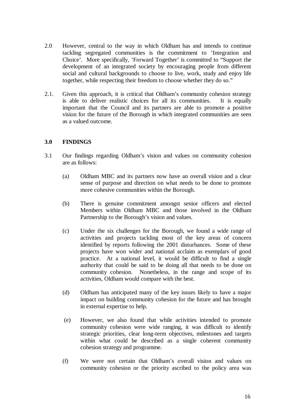- 2.0 However, central to the way in which Oldham has and intends to continue tackling segregated communities is the commitment to 'Integration and Choice'. More specifically, 'Forward Together' is committed to "Support the development of an integrated society by encouraging people from different social and cultural backgrounds to choose to live, work, study and enjoy life together, while respecting their freedom to choose whether they do so."
- 2.1. Given this approach, it is critical that Oldham's community cohesion strategy is able to deliver realistic choices for all its communities. It is equally important that the Council and its partners are able to promote a positive vision for the future of the Borough in which integrated communities are seen as a valued outcome.

#### **3.0 FINDINGS**

- 3.1 Our findings regarding Oldham's vision and values on community cohesion are as follows:
	- (a) Oldham MBC and its partners now have an overall vision and a clear sense of purpose and direction on what needs to be done to promote more cohesive communities within the Borough.
	- (b) There is genuine commitment amongst senior officers and elected Members within Oldham MBC and those involved in the Oldham Partnership to the Borough's vision and values.
	- (c) Under the six challenges for the Borough, we found a wide range of activities and projects tackling most of the key areas of concern identified by reports following the 2001 disturbances. Some of these projects have won wider and national acclaim as exemplars of good practice. At a national level, it would be difficult to find a single authority that could be said to be doing all that needs to be done on community cohesion. Nonetheless, in the range and scope of its activities, Oldham would compare with the best.
	- (d) Oldham has anticipated many of the key issues likely to have a major impact on building community cohesion for the future and has brought in external expertise to help.
	- (e) However, we also found that while activities intended to promote community cohesion were wide ranging, it was difficult to identify strategic priorities, clear long-term objectives, milestones and targets within what could be described as a single coherent community cohesion strategy and programme.
	- (f) We were not certain that Oldham's overall vision and values on community cohesion or the priority ascribed to the policy area was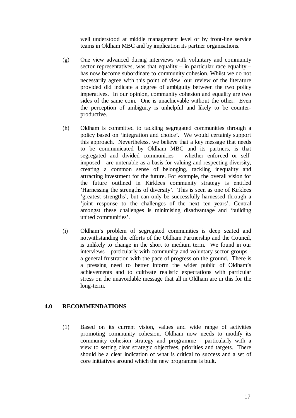well understood at middle management level or by front-line service teams in Oldham MBC and by implication its partner organisations.

- (g) One view advanced during interviews with voluntary and community sector representatives, was that equality – in particular race equality – has now become subordinate to community cohesion. Whilst we do not necessarily agree with this point of view, our review of the literature provided did indicate a degree of ambiguity between the two policy imperatives. In our opinion, community cohesion and equality are two sides of the same coin. One is unachievable without the other. Even the perception of ambiguity is unhelpful and likely to be counterproductive.
- (h) Oldham is committed to tackling segregated communities through a policy based on 'integration and choice'. We would certainly support this approach. Nevertheless, we believe that a key message that needs to be communicated by Oldham MBC and its partners, is that segregated and divided communities – whether enforced or selfimposed - are untenable as a basis for valuing and respecting diversity, creating a common sense of belonging, tackling inequality and attracting investment for the future. For example, the overall vision for the future outlined in Kirklees community strategy is entitled 'Harnessing the strengths of diversity'. This is seen as one of Kirklees 'greatest strengths', but can only be successfully harnessed through a 'joint response to the challenges of the next ten years'. Central amongst these challenges is minimising disadvantage and 'building united communities'.
- (i) Oldham's problem of segregated communities is deep seated and notwithstanding the efforts of the Oldham Partnership and the Council, is unlikely to change in the short to medium term. We found in our interviews - particularly with community and voluntary sector groups a general frustration with the pace of progress on the ground. There is a pressing need to better inform the wider public of Oldham's achievements and to cultivate realistic expectations with particular stress on the unavoidable message that all in Oldham are in this for the long-term.

#### **4.0 RECOMMENDATIONS**

(1) Based on its current vision, values and wide range of activities promoting community cohesion, Oldham now needs to modify its community cohesion strategy and programme - particularly with a view to setting clear strategic objectives, priorities and targets. There should be a clear indication of what is critical to success and a set of core initiatives around which the new programme is built.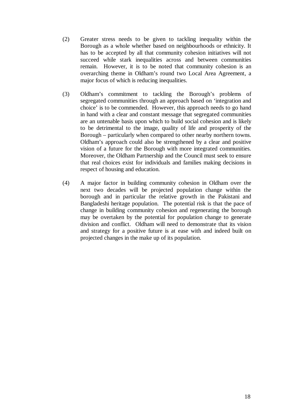- (2) Greater stress needs to be given to tackling inequality within the Borough as a whole whether based on neighbourhoods or ethnicity. It has to be accepted by all that community cohesion initiatives will not succeed while stark inequalities across and between communities remain. However, it is to be noted that community cohesion is an overarching theme in Oldham's round two Local Area Agreement, a major focus of which is reducing inequalities.
- (3) Oldham's commitment to tackling the Borough's problems of segregated communities through an approach based on 'integration and choice' is to be commended. However, this approach needs to go hand in hand with a clear and constant message that segregated communities are an untenable basis upon which to build social cohesion and is likely to be detrimental to the image, quality of life and prosperity of the Borough – particularly when compared to other nearby northern towns. Oldham's approach could also be strengthened by a clear and positive vision of a future for the Borough with more integrated communities. Moreover, the Oldham Partnership and the Council must seek to ensure that real choices exist for individuals and families making decisions in respect of housing and education.
- (4) A major factor in building community cohesion in Oldham over the next two decades will be projected population change within the borough and in particular the relative growth in the Pakistani and Bangladeshi heritage population. The potential risk is that the pace of change in building community cohesion and regenerating the borough may be overtaken by the potential for population change to generate division and conflict. Oldham will need to demonstrate that its vision and strategy for a positive future is at ease with and indeed built on projected changes in the make up of its population.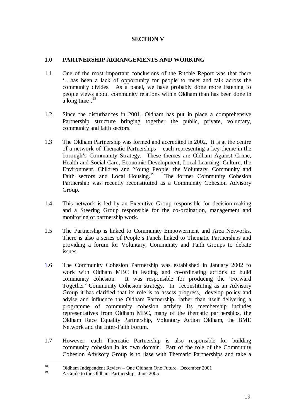#### **SECTION V**

#### **1.0 PARTNERSHIP ARRANGEMENTS AND WORKING**

- 1.1 One of the most important conclusions of the Ritchie Report was that there '…has been a lack of opportunity for people to meet and talk across the community divides. As a panel, we have probably done more listening to people views about community relations within Oldham than has been done in a long time'. $18$
- 1.2 Since the disturbances in 2001, Oldham has put in place a comprehensive Partnership structure bringing together the public, private, voluntary, community and faith sectors.
- 1.3 The Oldham Partnership was formed and accredited in 2002. It is at the centre of a network of Thematic Partnerships – each representing a key theme in the borough's Community Strategy. These themes are Oldham Against Crime, Health and Social Care, Economic Development, Local Learning, Culture, the Environment, Children and Young People, the Voluntary, Community and Faith sectors and Local Housing.<sup>19</sup> The former Community Cohesion Partnership was recently reconstituted as a Community Cohesion Advisory Group.
- 1.4 This network is led by an Executive Group responsible for decision-making and a Steering Group responsible for the co-ordination, management and monitoring of partnership work.
- 1.5 The Partnership is linked to Community Empowerment and Area Networks. There is also a series of People's Panels linked to Thematic Partnerships and providing a forum for Voluntary, Community and Faith Groups to debate issues.
- 1.6 The Community Cohesion Partnership was established in January 2002 to work with Oldham MBC in leading and co-ordinating actions to build community cohesion. It was responsible for producing the 'Forward Together' Community Cohesion strategy. In reconstituting as an Advisory Group it has clarified that its role is to assess progress, develop policy and advise and influence the Oldham Partnership, rather than itself delivering a programme of community cohesion activity Its membership includes representatives from Oldham MBC, many of the thematic partnerships, the Oldham Race Equality Partnership, Voluntary Action Oldham, the BME Network and the Inter-Faith Forum.
- 1.7 However, each Thematic Partnership is also responsible for building community cohesion in its own domain. Part of the role of the Community Cohesion Advisory Group is to liase with Thematic Partnerships and take a

<sup>18</sup> <sup>18</sup> Oldham Independent Review – One Oldham One Future. December 2001

<sup>19</sup> A Guide to the Oldham Partnership. June 2005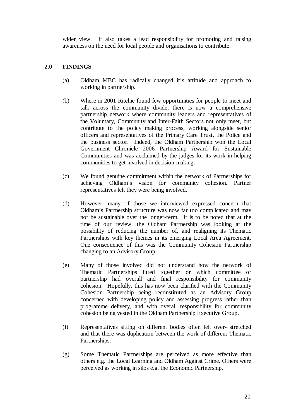wider view. It also takes a lead responsibility for promoting and raising awareness on the need for local people and organisations to contribute.

#### **2.0 FINDINGS**

- (a) Oldham MBC has radically changed it's attitude and approach to working in partnership.
- (b) Where in 2001 Ritchie found few opportunities for people to meet and talk across the community divide, there is now a comprehensive partnership network where community leaders and representatives of the Voluntary, Community and Inter-Faith Sectors not only meet, but contribute to the policy making process, working alongside senior officers and representatives of the Primary Care Trust, the Police and the business sector. Indeed, the Oldham Partnership won the Local Government Chronicle 2006 Partnership Award for Sustainable Communities and was acclaimed by the judges for its work in helping communities to get involved in decision-making.
- (c) We found genuine commitment within the network of Partnerships for achieving Oldham's vision for community cohesion. Partner representatives felt they were being involved.
- (d) However, many of those we interviewed expressed concern that Oldham's Partnership structure was now far too complicated and may not be sustainable over the longer-term. It is to be noted that at the time of our review, the Oldham Partnership was looking at the possibility of reducing the number of, and realigning its Thematic Partnerships with key themes in its emerging Local Area Agreement. One consequence of this was the Community Cohesion Partnership changing to an Advisory Group.
- (e) Many of those involved did not understand how the network of Thematic Partnerships fitted together or which committee or partnership had overall and final responsibility for community cohesion. Hopefully, this has now been clarified with the Community Cohesion Partnership being reconstituted as an Advisory Group concerned with developing policy and assessing progress rather than programme delivery, and with overall responsibility for community cohesion being vested in the Oldham Partnership Executive Group.
- (f) Representatives sitting on different bodies often felt over- stretched and that there was duplication between the work of different Thematic Partnerships.
- (g) Some Thematic Partnerships are perceived as more effective than others e.g. the Local Learning and Oldham Against Crime. Others were perceived as working in silos e.g. the Economic Partnership.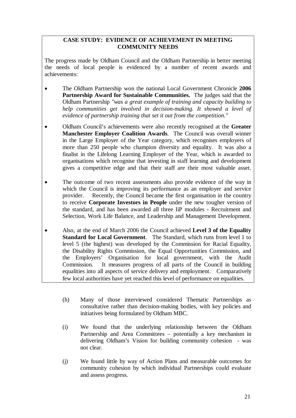#### **CASE STUDY: EVIDENCE OF ACHIEVEMENT IN MEETING COMMUNITY NEEDS**

The progress made by Oldham Council and the Oldham Partnership in better meeting the needs of local people is evidenced by a number of recent awards and achievements:

- The Oldham Partnership won the national Local Government Chronicle **2006 Partnership Award for Sustainable Communities.** The judges said that the Oldham Partnership *"was a great example of training and capacity building to help communities get involved in decision-making. It showed a level of evidence of partnership training that set it out from the competition."*
- Oldham Council's achievements were also recently recognised at the **Greater Manchester Employer Coalition Awards**. The Council was overall winner in the Large Employer of the Year category, which recognises employers of more than 250 people who champion diversity and equality. It was also a finalist in the Lifelong Learning Employer of the Year, which is awarded to organisations which recognise that investing in staff learning and development gives a competitive edge and that their staff are their most valuable asset.
- The outcome of two recent assessments also provide evidence of the way in which the Council is improving its performance as an employer and service provider. Recently, the Council became the first organisation in the country to receive **Corporate Investors in People** under the new tougher version of the standard, and has been awarded all three IiP modules - Recruitment and Selection, Work Life Balance, and Leadership and Management Development.
- Also, at the end of March 2006 the Council achieved **Level 3 of the Equality Standard for Local Government**. The Standard, which runs from level 1 to level 5 (the highest) was developed by the Commission for Racial Equality, the Disability Rights Commission, the Equal Opportunities Commission, and the Employers' Organisation for local government, with the Audit Commission. It measures progress of all parts of the Council in building equalities into all aspects of service delivery and employment. Comparatively few local authorities have yet reached this level of performance on equalities.
	- (h) Many of those interviewed considered Thematic Partnerships as consultative rather than decision-making bodies, with key policies and initiatives being formulated by Oldham MBC.
	- (i) We found that the underlying relationship between the Oldham Partnership and Area Committees – potentially a key mechanism in delivering Oldham's Vision for building community cohesion - was not clear.
	- (j) We found little by way of Action Plans and measurable outcomes for community cohesion by which individual Partnerships could evaluate and assess progress.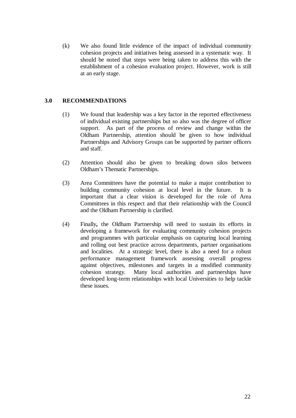(k) We also found little evidence of the impact of individual community cohesion projects and initiatives being assessed in a systematic way. It should be noted that steps were being taken to address this with the establishment of a cohesion evaluation project. However, work is still at an early stage.

#### **3.0 RECOMMENDATIONS**

- (1) We found that leadership was a key factor in the reported effectiveness of individual existing partnerships but so also was the degree of officer support. As part of the process of review and change within the Oldham Partnership, attention should be given to how individual Partnerships and Advisory Groups can be supported by partner officers and staff.
- (2) Attention should also be given to breaking down silos between Oldham's Thematic Partnerships.
- (3) Area Committees have the potential to make a major contribution to building community cohesion at local level in the future. It is important that a clear vision is developed for the role of Area Committees in this respect and that their relationship with the Council and the Oldham Partnership is clarified.
- (4) Finally**,** the Oldham Partnership will need to sustain its efforts in developing a framework for evaluating community cohesion projects and programmes with particular emphasis on capturing local learning and rolling out best practice across departments, partner organisations and localities. At a strategic level, there is also a need for a robust performance management framework assessing overall progress against objectives, milestones and targets in a modified community cohesion strategy. Many local authorities and partnerships have developed long-term relationships with local Universities to help tackle these issues.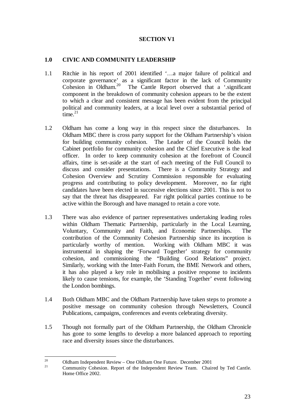#### **SECTION V1**

#### **1.0 CIVIC AND COMMUNITY LEADERSHIP**

- 1.1 Ritchie in his report of 2001 identified '…a major failure of political and corporate governance' as a significant factor in the lack of Community Cohesion in Oldham.20 The Cantle Report observed that a '.significant component in the breakdown of community cohesion appears to be the extent to which a clear and consistent message has been evident from the principal political and community leaders, at a local level over a substantial period of  $time<sup>21</sup>$
- 1.2 Oldham has come a long way in this respect since the disturbances. In Oldham MBC there is cross party support for the Oldham Partnership's vision for building community cohesion. The Leader of the Council holds the Cabinet portfolio for community cohesion and the Chief Executive is the lead officer. In order to keep community cohesion at the forefront of Council affairs, time is set-aside at the start of each meeting of the Full Council to discuss and consider presentations. There is a Community Strategy and Cohesion Overview and Scrutiny Commission responsible for evaluating progress and contributing to policy development. Moreover, no far right candidates have been elected in successive elections since 2001. This is not to say that the threat has disappeared. Far right political parties continue to be active within the Borough and have managed to retain a core vote.
- 1.3 There was also evidence of partner representatives undertaking leading roles within Oldham Thematic Partnership, particularly in the Local Learning, Voluntary, Community and Faith, and Economic Partnerships. The contribution of the Community Cohesion Partnership since its inception is particularly worthy of mention. Working with Oldham MBC it was instrumental in shaping the 'Forward Together' strategy for community cohesion, and commissioning the "Building Good Relations" project. Similarly, working with the Inter-Faith Forum, the BME Network and others, it has also played a key role in mobilising a positive response to incidents likely to cause tensions, for example, the 'Standing Together' event following the London bombings.
- 1.4 Both Oldham MBC and the Oldham Partnership have taken steps to promote a positive message on community cohesion through Newsletters, Council Publications, campaigns, conferences and events celebrating diversity.
- 1.5 Though not formally part of the Oldham Partnership, the Oldham Chronicle has gone to some lengths to develop a more balanced approach to reporting race and diversity issues since the disturbances.

 $20^{\circ}$ 

<sup>&</sup>lt;sup>20</sup> Oldham Independent Review – One Oldham One Future. December 2001<br><sup>21</sup> Community Cohesion. Report of the Independent Review Team. Chaired by Ted Cantle. Home Office 2002.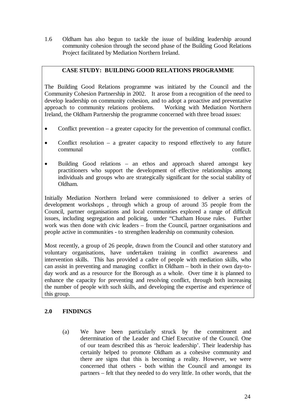1.6 Oldham has also begun to tackle the issue of building leadership around community cohesion through the second phase of the Building Good Relations Project facilitated by Mediation Northern Ireland.

#### **CASE STUDY: BUILDING GOOD RELATIONS PROGRAMME**

The Building Good Relations programme was initiated by the Council and the Community Cohesion Partnership in 2002. It arose from a recognition of the need to develop leadership on community cohesion, and to adopt a proactive and preventative approach to community relations problems. Working with Mediation Northern Ireland, the Oldham Partnership the programme concerned with three broad issues:

- Conflict prevention a greater capacity for the prevention of communal conflict.
- Conflict resolution a greater capacity to respond effectively to any future communal conflict.
- Building Good relations an ethos and approach shared amongst key practitioners who support the development of effective relationships among individuals and groups who are strategically significant for the social stability of Oldham.

Initially Mediation Northern Ireland were commissioned to deliver a series of development workshops , through which a group of around 35 people from the Council, partner organisations and local communities explored a range of difficult issues, including segregation and policing, under "Chatham House rules. Further work was then done with civic leaders – from the Council, partner organisations and people active in communities - to strengthen leadership on community cohesion.

Most recently, a group of 26 people, drawn from the Council and other statutory and voluntary organisations, have undertaken training in conflict awareness and intervention skills. This has provided a cadre of people with mediation skills, who can assist in preventing and managing conflict in Oldham – both in their own day-today work and as a resource for the Borough as a whole. Over time it is planned to enhance the capacity for preventing and resolving conflict, through both increasing the number of people with such skills, and developing the expertise and experience of this group.

#### **2.0 FINDINGS**

(a) We have been particularly struck by the commitment and determination of the Leader and Chief Executive of the Council. One of our team described this as 'heroic leadership'. Their leadership has certainly helped to promote Oldham as a cohesive community and there are signs that this is becoming a reality. However, we were concerned that others - both within the Council and amongst its partners – felt that they needed to do very little. In other words, that the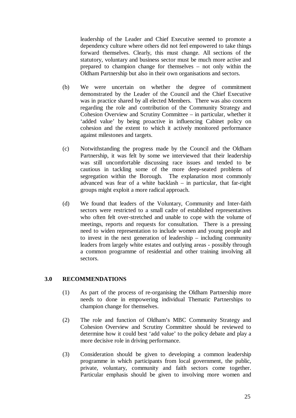leadership of the Leader and Chief Executive seemed to promote a dependency culture where others did not feel empowered to take things forward themselves. Clearly, this must change. All sections of the statutory, voluntary and business sector must be much more active and prepared to champion change for themselves – not only within the Oldham Partnership but also in their own organisations and sectors.

- (b) We were uncertain on whether the degree of commitment demonstrated by the Leader of the Council and the Chief Executive was in practice shared by all elected Members. There was also concern regarding the role and contribution of the Community Strategy and Cohesion Overview and Scrutiny Committee – in particular, whether it 'added value' by being proactive in influencing Cabinet policy on cohesion and the extent to which it actively monitored performance against milestones and targets.
- (c) Notwithstanding the progress made by the Council and the Oldham Partnership, it was felt by some we interviewed that their leadership was still uncomfortable discussing race issues and tended to be cautious in tackling some of the more deep-seated problems of segregation within the Borough. The explanation most commonly advanced was fear of a white backlash – in particular, that far-right groups might exploit a more radical approach.
- (d) We found that leaders of the Voluntary, Community and Inter-faith sectors were restricted to a small cadre of established representatives who often felt over-stretched and unable to cope with the volume of meetings, reports and requests for consultation. There is a pressing need to widen representation to include women and young people and to invest in the next generation of leadership – including community leaders from largely white estates and outlying areas - possibly through a common programme of residential and other training involving all sectors.

#### **3.0 RECOMMENDATIONS**

- (1) As part of the process of re-organising the Oldham Partnership more needs to done in empowering individual Thematic Partnerships to champion change for themselves.
- (2) The role and function of Oldham's MBC Community Strategy and Cohesion Overview and Scrutiny Committee should be reviewed to determine how it could best 'add value' to the policy debate and play a more decisive role in driving performance.
- (3) Consideration should be given to developing a common leadership programme in which participants from local government, the public, private, voluntary, community and faith sectors come together. Particular emphasis should be given to involving more women and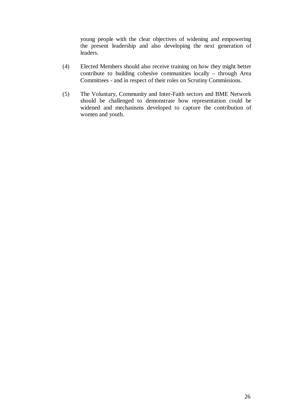young people with the clear objectives of widening and empowering the present leadership and also developing the next generation of leaders.

- (4) Elected Members should also receive training on how they might better contribute to building cohesive communities locally – through Area Committees - and in respect of their roles on Scrutiny Commissions.
- (5) The Voluntary, Community and Inter-Faith sectors and BME Network should be challenged to demonstrate how representation could be widened and mechanisms developed to capture the contribution of women and youth.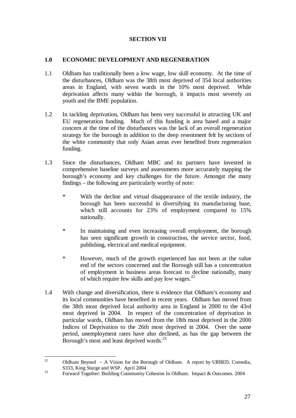#### **SECTION VII**

#### **1.0 ECONOMIC DEVELOPMENT AND REGENERATION**

- 1.1 Oldham has traditionally been a low wage, low skill economy. At the time of the disturbances, Oldham was the 38th most deprived of 354 local authorities areas in England, with seven wards in the 10% most deprived. While deprivation affects many within the borough, it impacts most severely on youth and the BME population.
- 1.2 In tackling deprivation, Oldham has been very successful in attracting UK and EU regeneration funding. Much of this funding is area based and a major concern at the time of the disturbances was the lack of an overall regeneration strategy for the borough in addition to the deep resentment felt by sections of the white community that only Asian areas ever benefited from regeneration funding.
- 1.3 Since the disturbances, Oldham MBC and its partners have invested in comprehensive baseline surveys and assessments more accurately mapping the borough's economy and key challenges for the future. Amongst the many findings – the following are particularly worthy of note:
	- \* With the decline and virtual disappearance of the textile industry, the borough has been successful in diversifying its manufacturing base, which still accounts for 23% of employment compared to 15% nationally.
	- \* In maintaining and even increasing overall employment, the borough has seen significant growth in construction, the service sector, food, publishing, electrical and medical equipment.
	- \* However, much of the growth experienced has not been at the value end of the sectors concerned and the Borough still has a concentration of employment in business areas forecast to decline nationally, many of which require few skills and pay low wages.<sup>22</sup>
- 1.4 With change and diversification, there is evidence that Oldham's economy and its local communities have benefited in recent years. Oldham has moved from the 38th most deprived local authority area in England in 2000 to the 43rd most deprived in 2004. In respect of the concentration of deprivation in particular wards, Oldham has moved from the 18th most deprived in the 2000 Indices of Deprivation to the 26th most deprived in 2004. Over the same period, unemployment rates have also declined, as has the gap between the Borough's most and least deprived wards.<sup>23</sup>

 $22$ Oldham Beyond – A Vision for the Borough of Oldham. A report by URBED, Comedia, S333, King Sturge and WSP. April 2004

<sup>&</sup>lt;sup>23</sup> Forward Together: Building Community Cohesion In Oldham. Impact & Outcomes. 2004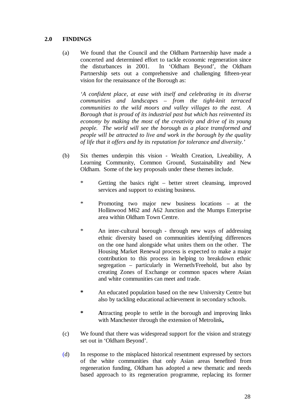#### **2.0 FINDINGS**

(a) We found that the Council and the Oldham Partnership have made a concerted and determined effort to tackle economic regeneration since the disturbances in 2001. In 'Oldham Beyond', the Oldham Partnership sets out a comprehensive and challenging fifteen-year vision for the renaissance of the Borough as:

*'A confident place, at ease with itself and celebrating in its diverse communities and landscapes – from the tight-knit terraced communities to the wild moors and valley villages to the east. A Borough that is proud of its industrial past but which has reinvented its economy by making the most of the creativity and drive of its young people. The world will see the borough as a place transformed and people will be attracted to live and work in the borough by the quality of life that it offers and by its reputation for tolerance and diversity.'* 

- (b) Six themes underpin this vision Wealth Creation, Liveability, A Learning Community, Common Ground, Sustainability and New Oldham. Some of the key proposals under these themes include.
	- \* Getting the basics right better street cleansing, improved services and support to existing business.
	- \* Promoting two major new business locations at the Hollinwood M62 and A62 Junction and the Mumps Enterprise area within Oldham Town Centre.
	- \* An inter-cultural borough through new ways of addressing ethnic diversity based on communities identifying differences on the one hand alongside what unites them on the other. The Housing Market Renewal process is expected to make a major contribution to this process in helping to breakdown ethnic segregation – particularly in Werneth/Freehold, but also by creating Zones of Exchange or common spaces where Asian and white communities can meet and trade.
	- **\*** An educated population based on the new University Centre but also by tackling educational achievement in secondary schools.
	- **\* A**ttracting people to settle in the borough and improving links with Manchester through the extension of Metrolink**,**
- (c) We found that there was widespread support for the vision and strategy set out in 'Oldham Beyond'.
- (d) In response to the misplaced historical resentment expressed by sectors of the white communities that only Asian areas benefited from regeneration funding, Oldham has adopted a new thematic and needs based approach to its regeneration programme, replacing its former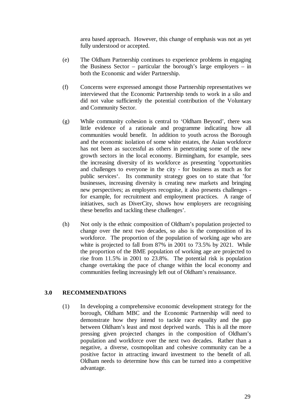area based approach. However, this change of emphasis was not as yet fully understood or accepted.

- (e) The Oldham Partnership continues to experience problems in engaging the Business Sector – particular the borough's large employers – in both the Economic and wider Partnership.
- (f) Concerns were expressed amongst those Partnership representatives we interviewed that the Economic Partnership tends to work in a silo and did not value sufficiently the potential contribution of the Voluntary and Community Sector.
- (g) While community cohesion is central to 'Oldham Beyond', there was little evidence of a rationale and programme indicating how all communities would benefit. In addition to youth across the Borough and the economic isolation of some white estates, the Asian workforce has not been as successful as others in penetrating some of the new growth sectors in the local economy. Birmingham, for example, sees the increasing diversity of its workforce as presenting 'opportunities and challenges to everyone in the city - for business as much as for public services'. Its community strategy goes on to state that 'for businesses, increasing diversity is creating new markets and bringing new perspectives; as employers recognise, it also presents challenges for example, for recruitment and employment practices. A range of initiatives, such as DiverCity, shows how employers are recognising these benefits and tackling these challenges'.
- (h) Not only is the ethnic composition of Oldham's population projected to change over the next two decades, so also is the composition of its workforce. The proportion of the population of working age who are white is projected to fall from 87% in 2001 to 73.5% by 2021. While the proportion of the BME population of working age are projected to rise from 11.5% in 2001 to 23.8%. The potential risk is population change overtaking the pace of change within the local economy and communities feeling increasingly left out of Oldham's renaissance.

#### **3.0 RECOMMENDATIONS**

(1) In developing a comprehensive economic development strategy for the borough, Oldham MBC and the Economic Partnership will need to demonstrate how they intend to tackle race equality and the gap between Oldham's least and most deprived wards. This is all the more pressing given projected changes in the composition of Oldham's population and workforce over the next two decades. Rather than a negative, a diverse, cosmopolitan and cohesive community can be a positive factor in attracting inward investment to the benefit of all. Oldham needs to determine how this can be turned into a competitive advantage.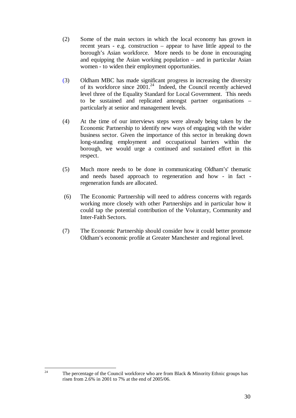- (2) Some of the main sectors in which the local economy has grown in recent years - e.g. construction – appear to have little appeal to the borough's Asian workforce. More needs to be done in encouraging and equipping the Asian working population – and in particular Asian women - to widen their employment opportunities.
- (3) Oldham MBC has made significant progress in increasing the diversity of its workforce since 2001.<sup>24</sup> Indeed, the Council recently achieved level three of the Equality Standard for Local Government. This needs to be sustained and replicated amongst partner organisations – particularly at senior and management levels.
- (4) At the time of our interviews steps were already being taken by the Economic Partnership to identify new ways of engaging with the wider business sector. Given the importance of this sector in breaking down long-standing employment and occupational barriers within the borough, we would urge a continued and sustained effort in this respect.
- (5) Much more needs to be done in communicating Oldham's' thematic and needs based approach to regeneration and how - in fact regeneration funds are allocated.
- (6) The Economic Partnership will need to address concerns with regards working more closely with other Partnerships and in particular how it could tap the potential contribution of the Voluntary, Community and Inter-Faith Sectors.
- (7) The Economic Partnership should consider how it could better promote Oldham's economic profile at Greater Manchester and regional level.

 $24$ 

The percentage of the Council workforce who are from Black & Minority Ethnic groups has risen from 2.6% in 2001 to 7% at the end of 2005/06.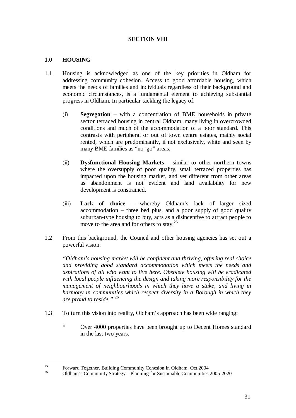#### **SECTION VIII**

#### **1.0 HOUSING**

- 1.1 Housing is acknowledged as one of the key priorities in Oldham for addressing community cohesion. Access to good affordable housing, which meets the needs of families and individuals regardless of their background and economic circumstances, is a fundamental element to achieving substantial progress in Oldham. In particular tackling the legacy of:
	- (i) **Segregation** with a concentration of BME households in private sector terraced housing in central Oldham, many living in overcrowded conditions and much of the accommodation of a poor standard. This contrasts with peripheral or out of town centre estates, mainly social rented, which are predominantly, if not exclusively, white and seen by many BME families as "no–go" areas.
	- (ii) **Dysfunctional Housing Markets** similar to other northern towns where the oversupply of poor quality, small terraced properties has impacted upon the housing market, and yet different from other areas as abandonment is not evident and land availability for new development is constrained.
	- (iii) **Lack of choice** whereby Oldham's lack of larger sized accommodation – three bed plus, and a poor supply of good quality suburban-type housing to buy, acts as a disincentive to attract people to move to the area and for others to stay.<sup>25</sup>
- 1.2 From this background, the Council and other housing agencies has set out a powerful vision:

*"Oldham's housing market will be confident and thriving, offering real choice and providing good standard accommodation which meets the needs and aspirations of all who want to live here. Obsolete housing will be eradicated with local people influencing the design and taking more responsibility for the management of neighbourhoods in which they have a stake, and living in harmony in communities which respect diversity in a Borough in which they are proud to reside."* <sup>26</sup>

- 1.3 To turn this vision into reality, Oldham's approach has been wide ranging:
	- \* Over 4000 properties have been brought up to Decent Homes standard in the last two years.

 $25$ <sup>25</sup> Forward Together. Building Community Cohesion in Oldham. Oct. 2004

<sup>26</sup> Oldham's Community Strategy – Planning for Sustainable Communities 2005-2020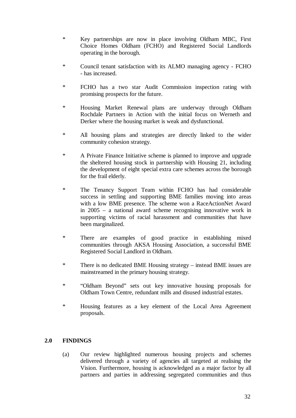- \* Key partnerships are now in place involving Oldham MBC, First Choice Homes Oldham (FCHO) and Registered Social Landlords operating in the borough.
- \* Council tenant satisfaction with its ALMO managing agency FCHO - has increased.
- \* FCHO has a two star Audit Commission inspection rating with promising prospects for the future.
- \* Housing Market Renewal plans are underway through Oldham Rochdale Partners in Action with the initial focus on Werneth and Derker where the housing market is weak and dysfunctional.
- \* All housing plans and strategies are directly linked to the wider community cohesion strategy.
- \* A Private Finance Initiative scheme is planned to improve and upgrade the sheltered housing stock in partnership with Housing 21, including the development of eight special extra care schemes across the borough for the frail elderly.
- \* The Tenancy Support Team within FCHO has had considerable success in settling and supporting BME families moving into areas with a low BME presence. The scheme won a RaceActionNet Award in 2005 – a national award scheme recognising innovative work in supporting victims of racial harassment and communities that have been marginalized.
- \* There are examples of good practice in establishing mixed communities through AKSA Housing Association, a successful BME Registered Social Landlord in Oldham.
- \* There is no dedicated BME Housing strategy instead BME issues are mainstreamed in the primary housing strategy.
- \* "Oldham Beyond" sets out key innovative housing proposals for Oldham Town Centre, redundant mills and disused industrial estates.
- \* Housing features as a key element of the Local Area Agreement proposals.

#### **2.0 FINDINGS**

(a) Our review highlighted numerous housing projects and schemes delivered through a variety of agencies all targeted at realising the Vision. Furthermore, housing is acknowledged as a major factor by all partners and parties in addressing segregated communities and thus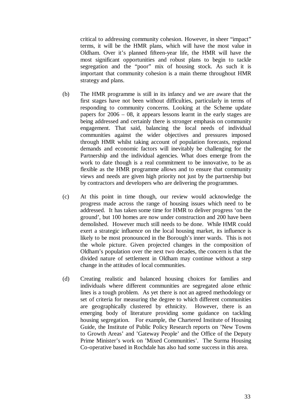critical to addressing community cohesion. However, in sheer "impact" terms, it will be the HMR plans, which will have the most value in Oldham. Over it's planned fifteen-year life, the HMR will have the most significant opportunities and robust plans to begin to tackle segregation and the "poor" mix of housing stock. As such it is important that community cohesion is a main theme throughout HMR strategy and plans.

- (b) The HMR programme is still in its infancy and we are aware that the first stages have not been without difficulties, particularly in terms of responding to community concerns. Looking at the Scheme update papers for 2006 – 08, it appears lessons learnt in the early stages are being addressed and certainly there is stronger emphasis on community engagement. That said, balancing the local needs of individual communities against the wider objectives and pressures imposed through HMR whilst taking account of population forecasts, regional demands and economic factors will inevitably be challenging for the Partnership and the individual agencies. What does emerge from the work to date though is a real commitment to be innovative, to be as flexible as the HMR programme allows and to ensure that community views and needs are given high priority not just by the partnership but by contractors and developers who are delivering the programmes.
- (c) At this point in time though, our review would acknowledge the progress made across the range of housing issues which need to be addressed. It has taken some time for HMR to deliver progress 'on the ground', but 100 homes are now under construction and 200 have been demolished. However much still needs to be done. While HMR could exert a strategic influence on the local housing market, its influence is likely to be most pronounced in the Borough's inner wards. This is not the whole picture. Given projected changes in the composition of Oldham's population over the next two decades, the concern is that the divided nature of settlement in Oldham may continue without a step change in the attitudes of local communities.
- (d) Creating realistic and balanced housing choices for families and individuals where different communities are segregated alone ethnic lines is a tough problem. As yet there is not an agreed methodology or set of criteria for measuring the degree to which different communities are geographically clustered by ethnicity. However, there is an emerging body of literature providing some guidance on tackling housing segregation. For example, the Chartered Institute of Housing Guide, the Institute of Public Policy Research reports on 'New Towns to Growth Areas' and 'Gateway People' and the Office of the Deputy Prime Minister's work on 'Mixed Communities'. The Surma Housing Co-operative based in Rochdale has also had some success in this area.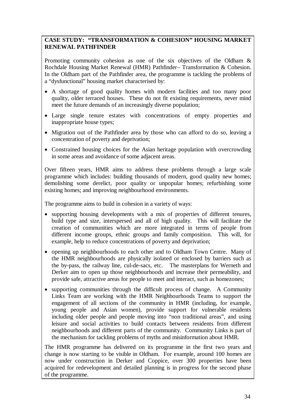#### **CASE STUDY: "TRANSFORMATION & COHESION" HOUSING MARKET RENEWAL PATHFINDER**

Promoting community cohesion as one of the six objectives of the Oldham & Rochdale Housing Market Renewal (HMR) Pathfinder– Transformation & Cohesion. In the Oldham part of the Pathfinder area, the programme is tackling the problems of a "dysfunctional" housing market characterised by:

- A shortage of good quality homes with modern facilities and too many poor quality, older terraced houses. These do not fit existing requirements, never mind meet the future demands of an increasingly diverse population;
- Large single tenure estates with concentrations of empty properties and inappropriate house types;
- Migration out of the Pathfinder area by those who can afford to do so, leaving a concentration of poverty and deprivation;
- Constrained housing choices for the Asian heritage population with overcrowding in some areas and avoidance of some adjacent areas.

Over fifteen years, HMR aims to address these problems through a large scale programme which includes: building thousands of modern, good quality new homes; demolishing some derelict, poor quality or unpopular homes; refurbishing some existing homes; and improving neighbourhood environments.

The programme aims to build in cohesion in a variety of ways:

- supporting housing developments with a mix of properties of different tenures, build type and size, interspersed and all of high quality. This will facilitate the creation of communities which are more integrated in terms of people from different income groups, ethnic groups and family composition. This will, for example, help to reduce concentrations of poverty and deprivation;
- opening up neighbourhoods to each other and to Oldham Town Centre. Many of the HMR neighbourhoods are physically isolated or enclosed by barriers such as the by-pass, the railway line, cul-de-sacs, etc. The masterplans for Werneth and Derker aim to open up those neighbourhoods and increase their permeability, and provide safe, attractive areas for people to meet and interact, such as homezones;
- supporting communities through the difficult process of change. A Community Links Team are working with the HMR Neighbourhoods Teams to support the engagement of all sections of the community in HMR (including, for example, young people and Asian women), provide support for vulnerable residents including older people and people moving into "non traditional areas", and using leisure and social activities to build contacts between residents from different neighbourhoods and different parts of the community. Community Links is part of the mechanism for tackling problems of myths and misinformation about HMR.

The HMR programme has delivered on its programme in the first two years and change is now starting to be visible in Oldham. For example, around 100 homes are now under construction in Derker and Coppice, over 300 properties have been acquired for redevelopment and detailed planning is in progress for the second phase of the programme.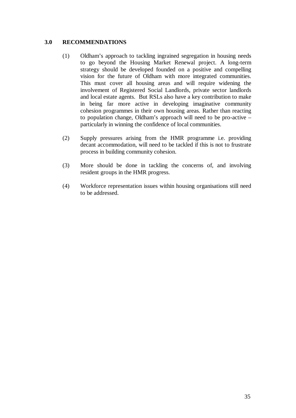#### **3.0 RECOMMENDATIONS**

- (1) Oldham's approach to tackling ingrained segregation in housing needs to go beyond the Housing Market Renewal project. A long-term strategy should be developed founded on a positive and compelling vision for the future of Oldham with more integrated communities. This must cover all housing areas and will require widening the involvement of Registered Social Landlords, private sector landlords and local estate agents. But RSLs also have a key contribution to make in being far more active in developing imaginative community cohesion programmes in their own housing areas. Rather than reacting to population change, Oldham's approach will need to be pro-active – particularly in winning the confidence of local communities.
- (2) Supply pressures arising from the HMR programme i.e. providing decant accommodation, will need to be tackled if this is not to frustrate process in building community cohesion.
- (3) More should be done in tackling the concerns of, and involving resident groups in the HMR progress.
- (4) Workforce representation issues within housing organisations still need to be addressed.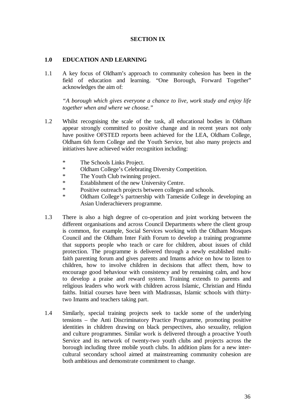#### **SECTION IX**

#### **1.0 EDUCATION AND LEARNING**

1.1 A key focus of Oldham's approach to community cohesion has been in the field of education and learning. "One Borough, Forward Together" acknowledges the aim of:

 *"A borough which gives everyone a chance to live, work study and enjoy life together when and where we choose."* 

- 1.2 Whilst recognising the scale of the task, all educational bodies in Oldham appear strongly committed to positive change and in recent years not only have positive OFSTED reports been achieved for the LEA, Oldham College, Oldham 6th form College and the Youth Service, but also many projects and initiatives have achieved wider recognition including:
	- \* The Schools Links Project.
	- \* Oldham College's Celebrating Diversity Competition.
	- \* The Youth Club twinning project.
	- \* Establishment of the new University Centre.
	- \* Positive outreach projects between colleges and schools.
	- \* Oldham College's partnership with Tameside College in developing an Asian Underachievers programme.
- 1.3 There is also a high degree of co-operation and joint working between the different organisations and across Council Departments where the client group is common, for example, Social Services working with the Oldham Mosques Council and the Oldham Inter Faith Forum to develop a training programme that supports people who teach or care for children, about issues of child protection. The programme is delivered through a newly established multifaith parenting forum and gives parents and Imams advice on how to listen to children, how to involve children in decisions that affect them, how to encourage good behaviour with consistency and by remaining calm, and how to develop a praise and reward system. Training extends to parents and religious leaders who work with children across Islamic, Christian and Hindu faiths. Initial courses have been with Madrassas, Islamic schools with thirtytwo Imams and teachers taking part.
- 1.4 Similarly, special training projects seek to tackle some of the underlying tensions – the Anti Discriminatory Practice Programme, promoting positive identities in children drawing on black perspectives, also sexuality, religion and culture programmes. Similar work is delivered through a proactive Youth Service and its network of twenty-two youth clubs and projects across the borough including three mobile youth clubs. In addition plans for a new intercultural secondary school aimed at mainstreaming community cohesion are both ambitious and demonstrate commitment to change.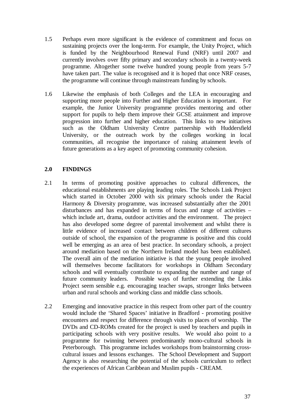- 1.5 Perhaps even more significant is the evidence of commitment and focus on sustaining projects over the long-term. For example, the Unity Project, which is funded by the Neighbourhood Renewal Fund (NRF) until 2007 and currently involves over fifty primary and secondary schools in a twenty-week programme. Altogether some twelve hundred young people from years 5-7 have taken part. The value is recognised and it is hoped that once NRF ceases, the programme will continue through mainstream funding by schools.
- 1.6 Likewise the emphasis of both Colleges and the LEA in encouraging and supporting more people into Further and Higher Education is important. For example, the Junior University programme provides mentoring and other support for pupils to help them improve their GCSE attainment and improve progression into further and higher education. This links to new initiatives such as the Oldham University Centre partnership with Huddersfield University, or the outreach work by the colleges working in local communities, all recognise the importance of raising attainment levels of future generations as a key aspect of promoting community cohesion.

#### **2.0 FINDINGS**

- 2.1 In terms of promoting positive approaches to cultural differences, the educational establishments are playing leading roles. The Schools Link Project which started in October 2000 with six primary schools under the Racial Harmony & Diversity programme, was increased substantially after the 2001 disturbances and has expanded in terms of focus and range of activities – which include art, drama, outdoor activities and the environment. The project has also developed some degree of parental involvement and whilst there is little evidence of increased contact between children of different cultures outside of school, the expansion of the programme is positive and this could well be emerging as an area of best practice. In secondary schools, a project around mediation based on the Northern Ireland model has been established. The overall aim of the mediation initiative is that the young people involved will themselves become facilitators for workshops in Oldham Secondary schools and will eventually contribute to expanding the number and range of future community leaders. Possible ways of further extending the Links Project seem sensible e.g. encouraging teacher swaps, stronger links between urban and rural schools and working class and middle class schools.
- 2.2 Emerging and innovative practice in this respect from other part of the country would include the 'Shared Spaces' initiative in Bradford - promoting positive encounters and respect for difference through visits to places of worship. The DVDs and CD-ROMs created for the project is used by teachers and pupils in participating schools with very positive results. We would also point to a programme for twinning between predominantly mono-cultural schools in Peterborough. This programme includes workshops from brainstorming crosscultural issues and lessons exchanges. The School Development and Support Agency is also researching the potential of the schools curriculum to reflect the experiences of African Caribbean and Muslim pupils - CREAM.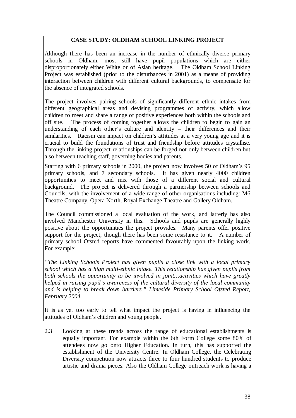#### **CASE STUDY: OLDHAM SCHOOL LINKING PROJECT**

Although there has been an increase in the number of ethnically diverse primary schools in Oldham, most still have pupil populations which are either disproportionately either White or of Asian heritage. The Oldham School Linking Project was established (prior to the disturbances in 2001) as a means of providing interaction between children with different cultural backgrounds, to compensate for the absence of integrated schools.

The project involves pairing schools of significantly different ethnic intakes from different geographical areas and devising programmes of activity, which allow children to meet and share a range of positive experiences both within the schools and off site. The process of coming together allows the children to begin to gain an understanding of each other's culture and identity – their differences and their similarities. Racism can impact on children's attitudes at a very young age and it is crucial to build the foundations of trust and friendship before attitudes crystallise. Through the linking project relationships can be forged not only between children but also between teaching staff, governing bodies and parents.

Starting with 6 primary schools in 2000, the project now involves 50 of Oldham's 95 primary schools, and 7 secondary schools. It has given nearly 4000 children opportunities to meet and mix with those of a different social and cultural background. The project is delivered through a partnership between schools and Councils, with the involvement of a wide range of other organisations including: M6 Theatre Company, Opera North, Royal Exchange Theatre and Gallery Oldham..

The Council commissioned a local evaluation of the work, and latterly has also involved Manchester University in this. Schools and pupils are generally highly positive about the opportunities the project provides. Many parents offer positive support for the project, though there has been some resistance to it. A number of primary school Ofsted reports have commented favourably upon the linking work. For example:

*"The Linking Schools Project has given pupils a close link with a local primary school which has a high multi-ethnic intake. This relationship has given pupils from*  both schools the opportunity to be involved in joint...activities which have greatly *helped in raising pupil's awareness of the cultural diversity of the local community and is helping to break down barriers." Limeside Primary School Ofsted Report, February 2004.* 

It is as yet too early to tell what impact the project is having in influencing the attitudes of Oldham's children and young people.

2.3 Looking at these trends across the range of educational establishments is equally important. For example within the 6th Form College some 80% of attendees now go onto Higher Education. In turn, this has supported the establishment of the University Centre. In Oldham College, the Celebrating Diversity competition now attracts three to four hundred students to produce artistic and drama pieces. Also the Oldham College outreach work is having a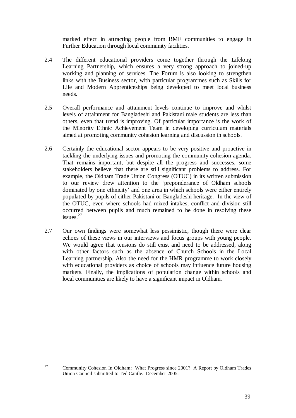marked effect in attracting people from BME communities to engage in Further Education through local community facilities.

- 2.4 The different educational providers come together through the Lifelong Learning Partnership, which ensures a very strong approach to joined-up working and planning of services. The Forum is also looking to strengthen links with the Business sector, with particular programmes such as Skills for Life and Modern Apprenticeships being developed to meet local business needs.
- 2.5 Overall performance and attainment levels continue to improve and whilst levels of attainment for Bangladeshi and Pakistani male students are less than others, even that trend is improving. Of particular importance is the work of the Minority Ethnic Achievement Team in developing curriculum materials aimed at promoting community cohesion learning and discussion in schools.
- 2.6 Certainly the educational sector appears to be very positive and proactive in tackling the underlying issues and promoting the community cohesion agenda. That remains important, but despite all the progress and successes, some stakeholders believe that there are still significant problems to address. For example, the Oldham Trade Union Congress (OTUC) in its written submission to our review drew attention to the 'preponderance of Oldham schools dominated by one ethnicity' and one area in which schools were either entirely populated by pupils of either Pakistani or Bangladeshi heritage. In the view of the OTUC, even where schools had mixed intakes, conflict and division still occurred between pupils and much remained to be done in resolving these issues.<sup>27</sup>
- 2.7 Our own findings were somewhat less pessimistic, though there were clear echoes of these views in our interviews and focus groups with young people. We would agree that tensions do still exist and need to be addressed, along with other factors such as the absence of Church Schools in the Local Learning partnership. Also the need for the HMR programme to work closely with educational providers as choice of schools may influence future housing markets. Finally, the implications of population change within schools and local communities are likely to have a significant impact in Oldham.

27 Community Cohesion In Oldham: What Progress since 2001? A Report by Oldham Trades Union Council submitted to Ted Cantle. December 2005.

 $27$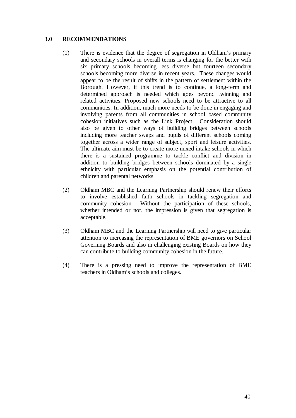#### **3.0 RECOMMENDATIONS**

- (1) There is evidence that the degree of segregation in Oldham's primary and secondary schools in overall terms is changing for the better with six primary schools becoming less diverse but fourteen secondary schools becoming more diverse in recent years. These changes would appear to be the result of shifts in the pattern of settlement within the Borough. However, if this trend is to continue, a long-term and determined approach is needed which goes beyond twinning and related activities. Proposed new schools need to be attractive to all communities. In addition, much more needs to be done in engaging and involving parents from all communities in school based community cohesion initiatives such as the Link Project. Consideration should also be given to other ways of building bridges between schools including more teacher swaps and pupils of different schools coming together across a wider range of subject, sport and leisure activities. The ultimate aim must be to create more mixed intake schools in which there is a sustained programme to tackle conflict and division in addition to building bridges between schools dominated by a single ethnicity with particular emphasis on the potential contribution of children and parental networks.
- (2) Oldham MBC and the Learning Partnership should renew their efforts to involve established faith schools in tackling segregation and community cohesion. Without the participation of these schools, whether intended or not, the impression is given that segregation is acceptable.
- (3) Oldham MBC and the Learning Partnership will need to give particular attention to increasing the representation of BME governors on School Governing Boards and also in challenging existing Boards on how they can contribute to building community cohesion in the future.
- (4) There is a pressing need to improve the representation of BME teachers in Oldham's schools and colleges.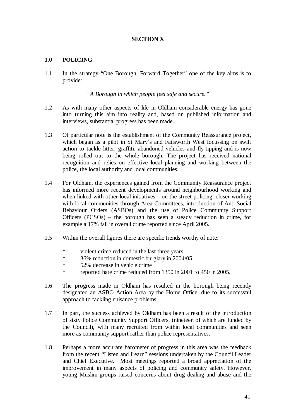#### **SECTION X**

#### **1.0 POLICING**

1.1 In the strategy "One Borough, Forward Together" one of the key aims is to provide:

*"A Borough in which people feel safe and secure."* 

- 1.2 As with many other aspects of life in Oldham considerable energy has gone into turning this aim into reality and, based on published information and interviews, substantial progress has been made.
- 1.3 Of particular note is the establishment of the Community Reassurance project, which began as a pilot in St Mary's and Failsworth West focussing on swift action to tackle litter, graffiti, abandoned vehicles and fly-tipping and is now being rolled out to the whole borough. The project has received national recognition and relies on effective local planning and working between the police, the local authority and local communities.
- 1.4 For Oldham, the experiences gained from the Community Reassurance project has informed more recent developments around neighbourhood working and when linked with other local initiatives – on the street policing, closer working with local communities through Area Committees, introduction of Anti-Social Behaviour Orders (ASBOs) and the use of Police Community Support Officers (PCSOs) – the borough has seen a steady reduction in crime, for example a 17% fall in overall crime reported since April 2005.
- 1.5 Within the overall figures there are specific trends worthy of note:
	- \* violent crime reduced in the last three years
	- \* 36% reduction in domestic burglary in 2004/05<br>\* 52% decrease in vehicle crime
	- 52% decrease in vehicle crime
	- \* reported hate crime reduced from 1350 in 2001 to 450 in 2005.
- 1.6 The progress made in Oldham has resulted in the borough being recently designated an ASBO Action Area by the Home Office, due to its successful approach to tackling nuisance problems.
- 1.7 In part, the success achieved by Oldham has been a result of the introduction of sixty Police Community Support Officers, (nineteen of which are funded by the Council), with many recruited from within local communities and seen more as community support rather than police representatives.
- 1.8 Perhaps a more accurate barometer of progress in this area was the feedback from the recent "Listen and Learn" sessions undertaken by the Council Leader and Chief Executive. Most meetings reported a broad appreciation of the improvement in many aspects of policing and community safety. However, young Muslim groups raised concerns about drug dealing and abuse and the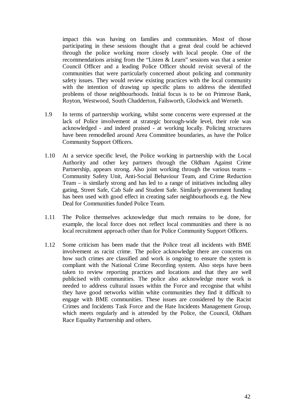impact this was having on families and communities. Most of those participating in these sessions thought that a great deal could be achieved through the police working more closely with local people. One of the recommendations arising from the "Listen & Learn" sessions was that a senior Council Officer and a leading Police Officer should revisit several of the communities that were particularly concerned about policing and community safety issues. They would review existing practices with the local community with the intention of drawing up specific plans to address the identified problems of those neighbourhoods. Initial focus is to be on Primrose Bank, Royton, Westwood, South Chadderton, Failsworth, Glodwick and Werneth.

- 1.9 In terms of partnership working, whilst some concerns were expressed at the lack of Police involvement at strategic borough-wide level, their role was acknowledged - and indeed praised - at working locally. Policing structures have been remodelled around Area Committee boundaries, as have the Police Community Support Officers.
- 1.10 At a service specific level, the Police working in partnership with the Local Authority and other key partners through the Oldham Against Crime Partnership, appears strong. Also joint working through the various teams – Community Safety Unit, Anti-Social Behaviour Team, and Crime Reduction Team – is similarly strong and has led to a range of initiatives including alley gating, Street Safe, Cab Safe and Student Safe. Similarly government funding has been used with good effect in creating safer neighbourhoods e.g. the New Deal for Communities funded Police Team.
- 1.11 The Police themselves acknowledge that much remains to be done, for example, the local force does not reflect local communities and there is no local recruitment approach other than for Police Community Support Officers.
- 1.12 Some criticism has been made that the Police treat all incidents with BME involvement as racist crime. The police acknowledge there are concerns on how such crimes are classified and work is ongoing to ensure the system is compliant with the National Crime Recording system. Also steps have been taken to review reporting practices and locations and that they are well publicised with communities. The police also acknowledge more work is needed to address cultural issues within the Force and recognise that whilst they have good networks within white communities they find it difficult to engage with BME communities. These issues are considered by the Racist Crimes and Incidents Task Force and the Hate Incidents Management Group, which meets regularly and is attended by the Police, the Council, Oldham Race Equality Partnership and others.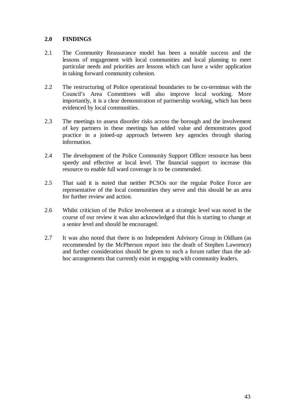#### **2.0 FINDINGS**

- 2.1 The Community Reassurance model has been a notable success and the lessons of engagement with local communities and local planning to meet particular needs and priorities are lessons which can have a wider application in taking forward community cohesion.
- 2.2 The restructuring of Police operational boundaries to be co-terminus with the Council's Area Committees will also improve local working. More importantly, it is a clear demonstration of partnership working, which has been evidenced by local communities.
- 2.3 The meetings to assess disorder risks across the borough and the involvement of key partners in these meetings has added value and demonstrates good practice in a joined-up approach between key agencies through sharing information.
- 2.4 The development of the Police Community Support Officer resource has been speedy and effective at local level. The financial support to increase this resource to enable full ward coverage is to be commended.
- 2.5 That said it is noted that neither PCSOs nor the regular Police Force are representative of the local communities they serve and this should be an area for further review and action.
- 2.6 Whilst criticism of the Police involvement at a strategic level was noted in the course of our review it was also acknowledged that this is starting to change at a senior level and should be encouraged.
- 2.7 It was also noted that there is no Independent Advisory Group in Oldham (as recommended by the McPherson report into the death of Stephen Lawrence) and further consideration should be given to such a forum rather than the adhoc arrangements that currently exist in engaging with community leaders.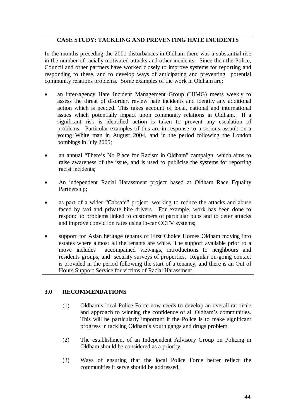#### **CASE STUDY: TACKLING AND PREVENTING HATE INCIDENTS**

In the months preceding the 2001 disturbances in Oldham there was a substantial rise in the number of racially motivated attacks and other incidents. Since then the Police, Council and other partners have worked closely to improve systems for reporting and responding to these, and to develop ways of anticipating and preventing potential community relations problems. Some examples of the work in Oldham are:

- an inter-agency Hate Incident Management Group (HIMG) meets weekly to assess the threat of disorder, review hate incidents and identify any additional action which is needed. This takes account of local, national and international issues which potentially impact upon community relations in Oldham. If a significant risk is identified action is taken to prevent any escalation of problems. Particular examples of this are in response to a serious assault on a young White man in August 2004, and in the period following the London bombings in July 2005;
- an annual "There's No Place for Racism in Oldham" campaign, which aims to raise awareness of the issue, and is used to publicise the systems for reporting racist incidents;
- An independent Racial Harassment project based at Oldham Race Equality Partnership;
- as part of a wider "Cabsafe" project, working to reduce the attacks and abuse faced by taxi and private hire drivers. For example, work has been done to respond to problems linked to customers of particular pubs and to deter attacks and improve conviction rates using in-car CCTV systems;
- support for Asian heritage tenants of First Choice Homes Oldham moving into estates where almost all the tenants are white. The support available prior to a move includes accompanied viewings, introductions to neighbours and residents groups, and security surveys of properties. Regular on-going contact is provided in the period following the start of a tenancy, and there is an Out of Hours Support Service for victims of Racial Harassment.

#### **3.0 RECOMMENDATIONS**

- (1) Oldham's local Police Force now needs to develop an overall rationale and approach to winning the confidence of all Oldham's communities. This will be particularly important if the Police is to make significant progress in tackling Oldham's youth gangs and drugs problem.
- (2) The establishment of an Independent Advisory Group on Policing in Oldham should be considered as a priority.
- (3) Ways of ensuring that the local Police Force better reflect the communities it serve should be addressed.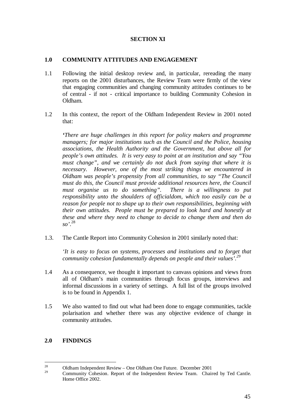#### **SECTION XI**

#### **1.0 COMMUNITY ATTITUDES AND ENGAGEMENT**

- 1.1 Following the initial desktop review and, in particular, rereading the many reports on the 2001 disturbances, the Review Team were firmly of the view that engaging communities and changing community attitudes continues to be of central - if not - critical importance to building Community Cohesion in Oldham.
- 1.2 In this context, the report of the Oldham Independent Review in 2001 noted that:

*'There are huge challenges in this report for policy makers and programme managers; for major institutions such as the Council and the Police, housing associations, the Health Authority and the Government, but above all for people's own attitudes. It is very easy to point at an institution and say "You must change", and we certainly do not duck from saying that where it is necessary. However, one of the most striking things we encountered in Oldham was people's propensity from all communities, to say "The Council must do this, the Council must provide additional resources here, the Council must organise us to do something". There is a willingness to put responsibility unto the shoulders of officialdom, which too easily can be a reason for people not to shape up to their own responsibilities, beginning with their own attitudes. People must be prepared to look hard and honestly at these and where they need to change to decide to change them and then do so'*. 28

1.3. The Cantle Report into Community Cohesion in 2001 similarly noted that:

*'It is easy to focus on systems, processes and institutions and to forget that community cohesion fundamentally depends on people and their values'.<sup>29</sup>*

- 1.4 As a consequence, we thought it important to canvass opinions and views from all of Oldham's main communities through focus groups, interviews and informal discussions in a variety of settings. A full list of the groups involved is to be found in Appendix 1.
- 1.5 We also wanted to find out what had been done to engage communities, tackle polarisation and whether there was any objective evidence of change in community attitudes.

#### **2.0 FINDINGS**

 $28$ <sup>28</sup> Oldham Independent Review – One Oldham One Future. December 2001

<sup>29</sup> Community Cohesion. Report of the Independent Review Team. Chaired by Ted Cantle. Home Office 2002.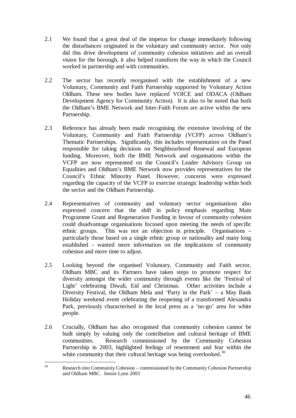- 2.1 We found that a great deal of the impetus for change immediately following the disturbances originated in the voluntary and community sector. Not only did this drive development of community cohesion initiatives and an overall vision for the borough, it also helped transform the way in which the Council worked in partnership and with communities.
- 2.2 The sector has recently reorganised with the establishment of a new Voluntary, Community and Faith Partnership supported by Voluntary Action Oldham. These new bodies have replaced VOICE and ODACA (Oldham Development Agency for Community Action). It is also to be noted that both the Oldham's BME Network and Inter-Faith Forum are active within the new Partnership.
- 2.3 Reference has already been made recognising the extensive involving of the Voluntary, Community and Faith Partnership (VCFP) across Oldham's Thematic Partnerships. Significantly, this includes representation on the Panel responsible for taking decisions on Neighbourhood Renewal and European funding. Moreover, both the BME Network and organisations within the VCFP are now represented on the Council's Leader Advisory Group on Equalities and Oldham's BME Network now provides representatives for the Council's Ethnic Minority Panel. However, concerns were expressed regarding the capacity of the VCFP to exercise strategic leadership within both the sector and the Oldham Partnership.
- 2.4 Representatives of community and voluntary sector organisations also expressed concern that the shift in policy emphasis regarding Main Programme Grant and Regeneration Funding in favour of community cohesion could disadvantage organisations focused upon meeting the needs of specific ethnic groups. This was not an objection in principle. Organisations – particularly those based on a single ethnic group or nationality and many long established - wanted more information on the implications of community cohesion and more time to adjust.
- 2.5 Looking beyond the organised Voluntary, Community and Faith sector, Oldham MBC and its Partners have taken steps to promote respect for diversity amongst the wider community through events like the 'Festival of Light' celebrating Diwali, Eid and Christmas. Other activities include a Diversity Festival, the Oldham Mela and 'Party in the Park' – a May Bank Holiday weekend event celebrating the reopening of a transformed Alexandra Park, previously characterised in the local press as a 'no-go' area for white people.
- 2.6 Crucially, Oldham has also recognised that community cohesion cannot be built simply by valuing only the contribution and cultural heritage of BME communities. Research commissioned by the Community Cohesion Partnership in 2003, highlighted feelings of resentment and fear within the white community that their cultural heritage was being overlooked.<sup>30</sup>

 $30<sup>°</sup>$ 30 Research into Community Cohesion – commissioned by the Community Cohesion Partnership and Oldham MBC. Jennie Lynn 2003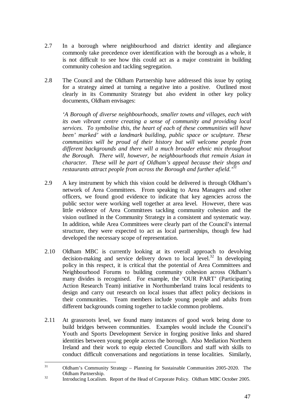- 2.7 In a borough where neighbourhood and district identity and allegiance commonly take precedence over identification with the borough as a whole, it is not difficult to see how this could act as a major constraint in building community cohesion and tackling segregation.
- 2.8 The Council and the Oldham Partnership have addressed this issue by opting for a strategy aimed at turning a negative into a positive. Outlined most clearly in its Community Strategy but also evident in other key policy documents, Oldham envisages:

*'A Borough of diverse neighbourhoods, smaller towns and villages, each with its own vibrant centre creating a sense of community and providing local services. To symbolise this, the heart of each of these communities will have been' marked' with a landmark building, public space or sculpture. These communities will be proud of their history but will welcome people from different backgrounds and there will a much broader ethnic mix throughout the Borough. There will, however, be neighbourhoods that remain Asian in character. These will be part of Oldham's appeal because their shops and restaurants attract people from across the Borough and further afield.'<sup>31</sup>*

- 2.9 A key instrument by which this vision could be delivered is through Oldham's network of Area Committees. From speaking to Area Managers and other officers, we found good evidence to indicate that key agencies across the public sector were working well together at area level. However, there was little evidence of Area Committees tackling community cohesion and the vision outlined in the Community Strategy in a consistent and systematic way. In addition, while Area Committees were clearly part of the Council's internal structure, they were expected to act as local partnerships, though few had developed the necessary scope of representation.
- 2.10 Oldham MBC is currently looking at its overall approach to devolving decision-making and service delivery down to local  $\text{level.}^{32}$  In developing policy in this respect, it is critical that the potential of Area Committees and Neighbourhood Forums to building community cohesion across Oldham's many divides is recognised. For example, the 'OUR PART' (Participating Action Research Team) initiative in Northumberland trains local residents to design and carry out research on local issues that affect policy decisions in their communities. Team members include young people and adults from different backgrounds coming together to tackle common problems.
- 2.11 At grassroots level, we found many instances of good work being done to build bridges between communities. Examples would include the Council's Youth and Sports Development Service in forging positive links and shared identities between young people across the borough. Also Mediation Northern Ireland and their work to equip elected Councillors and staff with skills to conduct difficult conversations and negotiations in tense localities. Similarly,

 $31$ 31 Oldham's Community Strategy – Planning for Sustainable Communities 2005-2020. The Oldham Partnership.<br>32 Introducing Localism. Report of the Head of Corporate Policy. Oldham MBC October 2005.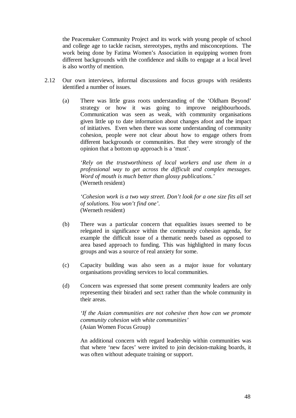the Peacemaker Community Project and its work with young people of school and college age to tackle racism, stereotypes, myths and misconceptions. The work being done by Fatima Women's Association in equipping women from different backgrounds with the confidence and skills to engage at a local level is also worthy of mention.

- 2.12 Our own interviews, informal discussions and focus groups with residents identified a number of issues.
	- (a) There was little grass roots understanding of the 'Oldham Beyond' strategy or how it was going to improve neighbourhoods. Communication was seen as weak, with community organisations given little up to date information about changes afoot and the impact of initiatives. Even when there was some understanding of community cohesion, people were not clear about how to engage others from different backgrounds or communities. But they were strongly of the opinion that a bottom up approach is a 'must'.

*'Rely on the trustworthiness of local workers and use them in a professional way to get across the difficult and complex messages. Word of mouth is much better than glossy publications.'*  (Werneth resident)

*'Cohesion work is a two way street. Don't look for a one size fits all set of solutions. You won't find one'.*  (Werneth resident)

- (b) There was a particular concern that equalities issues seemed to be relegated in significance within the community cohesion agenda, for example the difficult issue of a thematic needs based as opposed to area based approach to funding. This was highlighted in many focus groups and was a source of real anxiety for some.
- (c) Capacity building was also seen as a major issue for voluntary organisations providing services to local communities.
- (d) Concern was expressed that some present community leaders are only representing their biraderi and sect rather than the whole community in their areas.

*'If the Asian communities are not cohesive then how can we promote community cohesion with white communities'*  (Asian Women Focus Group)

An additional concern with regard leadership within communities was that where 'new faces' were invited to join decision-making boards, it was often without adequate training or support.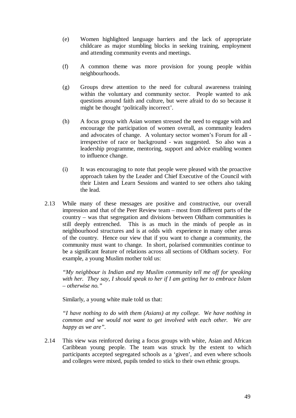- (e) Women highlighted language barriers and the lack of appropriate childcare as major stumbling blocks in seeking training, employment and attending community events and meetings.
- (f) A common theme was more provision for young people within neighbourhoods.
- (g) Groups drew attention to the need for cultural awareness training within the voluntary and community sector. People wanted to ask questions around faith and culture, but were afraid to do so because it might be thought 'politically incorrect'.
- (h) A focus group with Asian women stressed the need to engage with and encourage the participation of women overall, as community leaders and advocates of change. A voluntary sector women's Forum for all irrespective of race or background - was suggested. So also was a leadership programme, mentoring, support and advice enabling women to influence change.
- (i) It was encouraging to note that people were pleased with the proactive approach taken by the Leader and Chief Executive of the Council with their Listen and Learn Sessions and wanted to see others also taking the lead.
- 2.13 While many of these messages are positive and constructive, our overall impression and that of the Peer Review team – most from different parts of the country – was that segregation and divisions between Oldham communities is still deeply entrenched. This is as much in the minds of people as in neighbourhood structures and is at odds with experience in many other areas of the country. Hence our view that if you want to change a community, the community must want to change*.* In short, polarised communities continue to be a significant feature of relations across all sections of Oldham society. For example, a young Muslim mother told us:

*"My neighbour is Indian and my Muslim community tell me off for speaking with her. They say, I should speak to her if I am getting her to embrace Islam – otherwise no."* 

Similarly, a young white male told us that:

*"I have nothing to do with them (Asians) at my college. We have nothing in common and we would not want to get involved with each other. We are happy as we are".* 

2.14 This view was reinforced during a focus groups with white, Asian and African Caribbean young people. The team was struck by the extent to which participants accepted segregated schools as a 'given', and even where schools and colleges were mixed, pupils tended to stick to their own ethnic groups.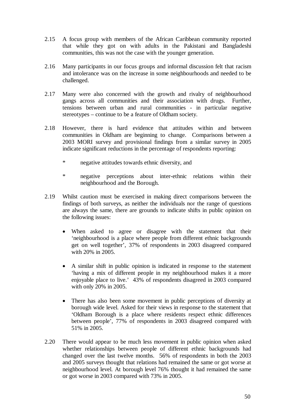- 2.15 A focus group with members of the African Caribbean community reported that while they got on with adults in the Pakistani and Bangladeshi communities, this was not the case with the younger generation.
- 2.16 Many participants in our focus groups and informal discussion felt that racism and intolerance was on the increase in some neighbourhoods and needed to be challenged.
- 2.17 Many were also concerned with the growth and rivalry of neighbourhood gangs across all communities and their association with drugs. Further, tensions between urban and rural communities - in particular negative stereotypes – continue to be a feature of Oldham society.
- 2.18 However, there is hard evidence that attitudes within and between communities in Oldham are beginning to change. Comparisons between a 2003 MORI survey and provisional findings from a similar survey in 2005 indicate significant reductions in the percentage of respondents reporting:
	- \* negative attitudes towards ethnic diversity, and
	- \* negative perceptions about inter-ethnic relations within their neighbourhood and the Borough.
- 2.19 Whilst caution must be exercised in making direct comparisons between the findings of both surveys, as neither the individuals nor the range of questions are always the same, there are grounds to indicate shifts in public opinion on the following issues:
	- When asked to agree or disagree with the statement that their 'neighbourhood is a place where people from different ethnic backgrounds get on well together', 37% of respondents in 2003 disagreed compared with 20% in 2005.
	- A similar shift in public opinion is indicated in response to the statement 'having a mix of different people in my neighbourhood makes it a more enjoyable place to live.' 43% of respondents disagreed in 2003 compared with only 20% in 2005.
	- There has also been some movement in public perceptions of diversity at borough wide level. Asked for their views in response to the statement that 'Oldham Borough is a place where residents respect ethnic differences between people', 77% of respondents in 2003 disagreed compared with 51% in 2005.
- 2.20 There would appear to be much less movement in public opinion when asked whether relationships between people of different ethnic backgrounds had changed over the last twelve months. 56% of respondents in both the 2003 and 2005 surveys thought that relations had remained the same or got worse at neighbourhood level. At borough level 76% thought it had remained the same or got worse in 2003 compared with 73% in 2005.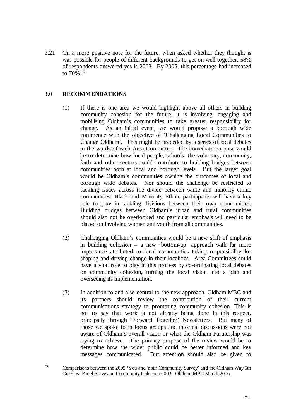2.21 On a more positive note for the future, when asked whether they thought is was possible for people of different backgrounds to get on well together, 58% of respondents answered yes is 2003. By 2005, this percentage had increased to  $70\%$ <sup>33</sup>

#### **3.0 RECOMMENDATIONS**

- (1) If there is one area we would highlight above all others in building community cohesion for the future, it is involving, engaging and mobilising Oldham's communities to take greater responsibility for change. As an initial event, we would propose a borough wide conference with the objective of 'Challenging Local Communities to Change Oldham'. This might be preceded by a series of local debates in the wards of each Area Committee. The immediate purpose would be to determine how local people, schools, the voluntary, community, faith and other sectors could contribute to building bridges between communities both at local and borough levels. But the larger goal would be Oldham's communities owning the outcomes of local and borough wide debates. Nor should the challenge be restricted to tackling issues across the divide between white and minority ethnic communities. Black and Minority Ethnic participants will have a key role to play in tackling divisions between their own communities. Building bridges between Oldham's urban and rural communities should also not be overlooked and particular emphasis will need to be placed on involving women and youth from all communities.
- (2) Challenging Oldham's communities would be a new shift of emphasis in building cohesion – a new 'bottom-up' approach with far more importance attributed to local communities taking responsibility for shaping and driving change in their localities. Area Committees could have a vital role to play in this process by co-ordinating local debates on community cohesion, turning the local vision into a plan and overseeing its implementation.
- (3) In addition to and also central to the new approach, Oldham MBC and its partners should review the contribution of their current communications strategy to promoting community cohesion. This is not to say that work is not already being done in this respect, principally through 'Forward Together' Newsletters. But many of those we spoke to in focus groups and informal discussions were not aware of Oldham's overall vision or what the Oldham Partnership was trying to achieve. The primary purpose of the review would be to determine how the wider public could be better informed and key messages communicated. But attention should also be given to

 $33$ 33 Comparisons between the 2005 'You and Your Community Survey' and the Oldham Way 5th Citizens' Panel Survey on Community Cohesion 2003. Oldham MBC March 2006.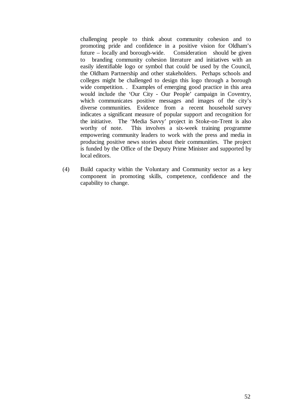challenging people to think about community cohesion and to promoting pride and confidence in a positive vision for Oldham's future – locally and borough-wide. Consideration should be given to branding community cohesion literature and initiatives with an easily identifiable logo or symbol that could be used by the Council, the Oldham Partnership and other stakeholders. Perhaps schools and colleges might be challenged to design this logo through a borough wide competition. . Examples of emerging good practice in this area would include the 'Our City - Our People' campaign in Coventry, which communicates positive messages and images of the city's diverse communities. Evidence from a recent household survey indicates a significant measure of popular support and recognition for the initiative. The 'Media Savvy' project in Stoke-on-Trent is also worthy of note. This involves a six-week training programme empowering community leaders to work with the press and media in producing positive news stories about their communities. The project is funded by the Office of the Deputy Prime Minister and supported by local editors.

(4) Build capacity within the Voluntary and Community sector as a key component in promoting skills, competence, confidence and the capability to change.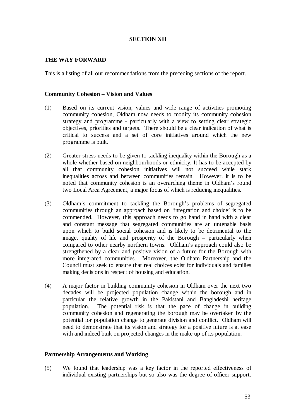#### **SECTION XII**

#### **THE WAY FORWARD**

This is a listing of all our recommendations from the preceding sections of the report.

#### **Community Cohesion – Vision and Values**

- (1) Based on its current vision, values and wide range of activities promoting community cohesion, Oldham now needs to modify its community cohesion strategy and programme - particularly with a view to setting clear strategic objectives, priorities and targets. There should be a clear indication of what is critical to success and a set of core initiatives around which the new programme is built.
- (2) Greater stress needs to be given to tackling inequality within the Borough as a whole whether based on neighbourhoods or ethnicity. It has to be accepted by all that community cohesion initiatives will not succeed while stark inequalities across and between communities remain. However, it is to be noted that community cohesion is an overarching theme in Oldham's round two Local Area Agreement, a major focus of which is reducing inequalities.
- (3) Oldham's commitment to tackling the Borough's problems of segregated communities through an approach based on 'integration and choice' is to be commended. However, this approach needs to go hand in hand with a clear and constant message that segregated communities are an untenable basis upon which to build social cohesion and is likely to be detrimental to the image, quality of life and prosperity of the Borough – particularly when compared to other nearby northern towns. Oldham's approach could also be strengthened by a clear and positive vision of a future for the Borough with more integrated communities. Moreover, the Oldham Partnership and the Council must seek to ensure that real choices exist for individuals and families making decisions in respect of housing and education.
- (4) A major factor in building community cohesion in Oldham over the next two decades will be projected population change within the borough and in particular the relative growth in the Pakistani and Bangladeshi heritage population. The potential risk is that the pace of change in building community cohesion and regenerating the borough may be overtaken by the potential for population change to generate division and conflict. Oldham will need to demonstrate that its vision and strategy for a positive future is at ease with and indeed built on projected changes in the make up of its population.

#### **Partnership Arrangements and Working**

(5) We found that leadership was a key factor in the reported effectiveness of individual existing partnerships but so also was the degree of officer support.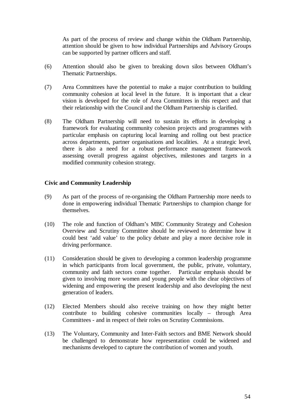As part of the process of review and change within the Oldham Partnership, attention should be given to how individual Partnerships and Advisory Groups can be supported by partner officers and staff.

- (6) Attention should also be given to breaking down silos between Oldham's Thematic Partnerships.
- (7) Area Committees have the potential to make a major contribution to building community cohesion at local level in the future. It is important that a clear vision is developed for the role of Area Committees in this respect and that their relationship with the Council and the Oldham Partnership is clarified.
- (8) The Oldham Partnership will need to sustain its efforts in developing a framework for evaluating community cohesion projects and programmes with particular emphasis on capturing local learning and rolling out best practice across departments, partner organisations and localities. At a strategic level, there is also a need for a robust performance management framework assessing overall progress against objectives, milestones and targets in a modified community cohesion strategy.

#### **Civic and Community Leadership**

- (9) As part of the process of re-organising the Oldham Partnership more needs to done in empowering individual Thematic Partnerships to champion change for themselves.
- (10) The role and function of Oldham's MBC Community Strategy and Cohesion Overview and Scrutiny Committee should be reviewed to determine how it could best 'add value' to the policy debate and play a more decisive role in driving performance.
- (11) Consideration should be given to developing a common leadership programme in which participants from local government, the public, private, voluntary, community and faith sectors come together. Particular emphasis should be given to involving more women and young people with the clear objectives of widening and empowering the present leadership and also developing the next generation of leaders.
- (12) Elected Members should also receive training on how they might better contribute to building cohesive communities locally – through Area Committees - and in respect of their roles on Scrutiny Commissions.
- (13) The Voluntary, Community and Inter-Faith sectors and BME Network should be challenged to demonstrate how representation could be widened and mechanisms developed to capture the contribution of women and youth.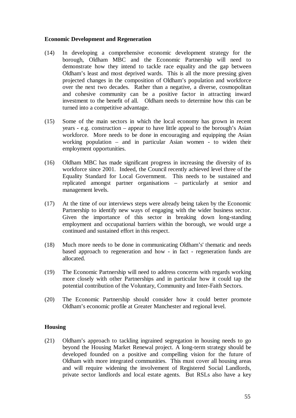#### **Economic Development and Regeneration**

- (14) In developing a comprehensive economic development strategy for the borough, Oldham MBC and the Economic Partnership will need to demonstrate how they intend to tackle race equality and the gap between Oldham's least and most deprived wards. This is all the more pressing given projected changes in the composition of Oldham's population and workforce over the next two decades. Rather than a negative, a diverse, cosmopolitan and cohesive community can be a positive factor in attracting inward investment to the benefit of all. Oldham needs to determine how this can be turned into a competitive advantage.
- (15) Some of the main sectors in which the local economy has grown in recent years - e.g. construction – appear to have little appeal to the borough's Asian workforce. More needs to be done in encouraging and equipping the Asian working population – and in particular Asian women - to widen their employment opportunities.
- (16) Oldham MBC has made significant progress in increasing the diversity of its workforce since 2001. Indeed, the Council recently achieved level three of the Equality Standard for Local Government. This needs to be sustained and replicated amongst partner organisations – particularly at senior and management levels.
- (17) At the time of our interviews steps were already being taken by the Economic Partnership to identify new ways of engaging with the wider business sector. Given the importance of this sector in breaking down long-standing employment and occupational barriers within the borough, we would urge a continued and sustained effort in this respect.
- (18) Much more needs to be done in communicating Oldham's' thematic and needs based approach to regeneration and how - in fact - regeneration funds are allocated.
- (19) The Economic Partnership will need to address concerns with regards working more closely with other Partnerships and in particular how it could tap the potential contribution of the Voluntary, Community and Inter-Faith Sectors.
- (20) The Economic Partnership should consider how it could better promote Oldham's economic profile at Greater Manchester and regional level.

#### **Housing**

(21) Oldham's approach to tackling ingrained segregation in housing needs to go beyond the Housing Market Renewal project. A long-term strategy should be developed founded on a positive and compelling vision for the future of Oldham with more integrated communities. This must cover all housing areas and will require widening the involvement of Registered Social Landlords, private sector landlords and local estate agents. But RSLs also have a key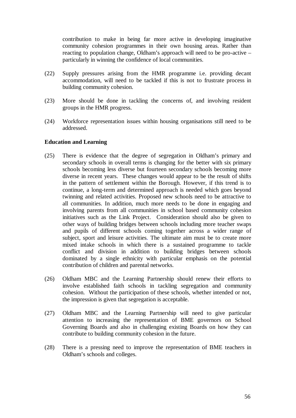contribution to make in being far more active in developing imaginative community cohesion programmes in their own housing areas. Rather than reacting to population change, Oldham's approach will need to be pro-active – particularly in winning the confidence of local communities.

- (22) Supply pressures arising from the HMR programme i.e. providing decant accommodation, will need to be tackled if this is not to frustrate process in building community cohesion.
- (23) More should be done in tackling the concerns of, and involving resident groups in the HMR progress.
- (24) Workforce representation issues within housing organisations still need to be addressed.

#### **Education and Learning**

- (25) There is evidence that the degree of segregation in Oldham's primary and secondary schools in overall terms is changing for the better with six primary schools becoming less diverse but fourteen secondary schools becoming more diverse in recent years. These changes would appear to be the result of shifts in the pattern of settlement within the Borough. However, if this trend is to continue, a long-term and determined approach is needed which goes beyond twinning and related activities. Proposed new schools need to be attractive to all communities. In addition, much more needs to be done in engaging and involving parents from all communities in school based community cohesion initiatives such as the Link Project. Consideration should also be given to other ways of building bridges between schools including more teacher swaps and pupils of different schools coming together across a wider range of subject, sport and leisure activities. The ultimate aim must be to create more mixed intake schools in which there is a sustained programme to tackle conflict and division in addition to building bridges between schools dominated by a single ethnicity with particular emphasis on the potential contribution of children and parental networks.
- (26) Oldham MBC and the Learning Partnership should renew their efforts to involve established faith schools in tackling segregation and community cohesion. Without the participation of these schools, whether intended or not, the impression is given that segregation is acceptable.
- (27) Oldham MBC and the Learning Partnership will need to give particular attention to increasing the representation of BME governors on School Governing Boards and also in challenging existing Boards on how they can contribute to building community cohesion in the future.
- (28) There is a pressing need to improve the representation of BME teachers in Oldham's schools and colleges.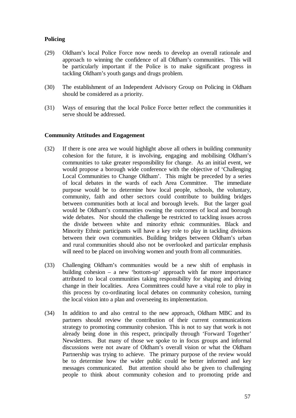#### **Policing**

- (29) Oldham's local Police Force now needs to develop an overall rationale and approach to winning the confidence of all Oldham's communities. This will be particularly important if the Police is to make significant progress in tackling Oldham's youth gangs and drugs problem.
- (30) The establishment of an Independent Advisory Group on Policing in Oldham should be considered as a priority.
- (31) Ways of ensuring that the local Police Force better reflect the communities it serve should be addressed.

#### **Community Attitudes and Engagement**

- (32) If there is one area we would highlight above all others in building community cohesion for the future, it is involving, engaging and mobilising Oldham's communities to take greater responsibility for change. As an initial event, we would propose a borough wide conference with the objective of 'Challenging Local Communities to Change Oldham'. This might be preceded by a series of local debates in the wards of each Area Committee. The immediate purpose would be to determine how local people, schools, the voluntary, community, faith and other sectors could contribute to building bridges between communities both at local and borough levels. But the larger goal would be Oldham's communities owning the outcomes of local and borough wide debates. Nor should the challenge be restricted to tackling issues across the divide between white and minority ethnic communities. Black and Minority Ethnic participants will have a key role to play in tackling divisions between their own communities. Building bridges between Oldham's urban and rural communities should also not be overlooked and particular emphasis will need to be placed on involving women and youth from all communities.
- (33) Challenging Oldham's communities would be a new shift of emphasis in building cohesion – a new 'bottom-up' approach with far more importance attributed to local communities taking responsibility for shaping and driving change in their localities. Area Committees could have a vital role to play in this process by co-ordinating local debates on community cohesion, turning the local vision into a plan and overseeing its implementation.
- (34) In addition to and also central to the new approach, Oldham MBC and its partners should review the contribution of their current communications strategy to promoting community cohesion. This is not to say that work is not already being done in this respect, principally through 'Forward Together' Newsletters. But many of those we spoke to in focus groups and informal discussions were not aware of Oldham's overall vision or what the Oldham Partnership was trying to achieve. The primary purpose of the review would be to determine how the wider public could be better informed and key messages communicated. But attention should also be given to challenging people to think about community cohesion and to promoting pride and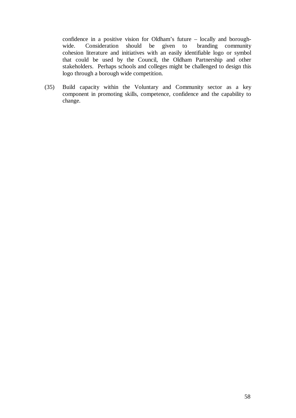confidence in a positive vision for Oldham's future – locally and boroughwide. Consideration should be given to branding community cohesion literature and initiatives with an easily identifiable logo or symbol that could be used by the Council, the Oldham Partnership and other stakeholders. Perhaps schools and colleges might be challenged to design this logo through a borough wide competition.

(35) Build capacity within the Voluntary and Community sector as a key component in promoting skills, competence, confidence and the capability to change.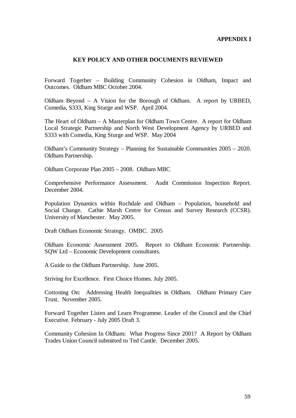#### **APPENDIX I**

#### **KEY POLICY AND OTHER DOCUMENTS REVIEWED**

Forward Together – Building Community Cohesion in Oldham, Impact and Outcomes. Oldham MBC October 2004.

Oldham Beyond – A Vision for the Borough of Oldham. A report by URBED, Comedia, S333, King Sturge and WSP. April 2004.

The Heart of Oldham – A Masterplan for Oldham Town Centre. A report for Oldham Local Strategic Partnership and North West Development Agency by URBED and S333 with Comedia, King Sturge and WSP. May 2004

Oldham's Community Strategy – Planning for Sustainable Communities 2005 – 2020. Oldham Partnership.

Oldham Corporate Plan 2005 – 2008. Oldham MBC

Comprehensive Performance Assessment. Audit Commission Inspection Report. December 2004.

Population Dynamics within Rochdale and Oldham – Population, household and Social Change. Cathie Marsh Centre for Census and Survey Research (CCSR). University of Manchester. May 2005.

Draft Oldham Economic Strategy. OMBC. 2005

Oldham Economic Assessment 2005. Report to Oldham Economic Partnership. SQW Ltd – Economic Development consultants.

A Guide to the Oldham Partnership. June 2005.

Striving for Excellence. First Choice Homes. July 2005.

Cottoning On: Addressing Health Inequalities in Oldham. Oldham Primary Care Trust. November 2005.

Forward Together Listen and Learn Programme. Leader of the Council and the Chief Executive. February - July 2005 Draft 3.

Community Cohesion In Oldham: What Progress Since 2001? A Report by Oldham Trades Union Council submitted to Ted Cantle. December 2005.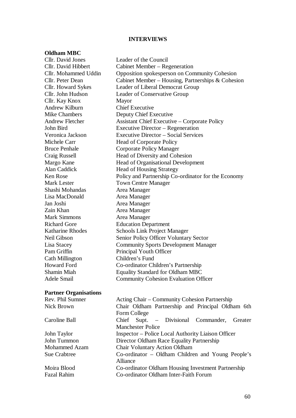#### **INTERVIEWS**

#### **Oldham MBC**

Cllr. David Jones Leader of the Council Cllr. David Hibbert Cabinet Member – Regeneration Cllr. Mohammed Uddin Opposition spokesperson on Community Cohesion Cllr. Peter Dean Cabinet Member – Housing, Partnerships & Cohesion Cllr. Howard Sykes Leader of Liberal Democrat Group Cllr. John Hudson Leader of Conservative Group Cllr. Kay Knox Mayor Andrew Kilburn Chief Executive Mike Chambers Deputy Chief Executive Andrew Fletcher Assistant Chief Executive – Corporate Policy John Bird Executive Director – Regeneration Veronica Jackson Executive Director – Social Services Michele Carr Head of Corporate Policy Bruce Penhale Corporate Policy Manager Craig Russell Head of Diversity and Cohesion Margo Kane **Head of Organisational Development** Alan Caddick Head of Housing Strategy Ken Rose Policy and Partnership Co-ordinator for the Economy Mark Lester Town Centre Manager Shashi Mohandas **Area Manager** Lisa MacDonald Area Manager Jan Joshi Area Manager Zain Khan **Area Manager** Mark Simmons **Area Manager** Richard Gore Education Department Katharine Rhodes Schools Link Project Manager Neil Gibson Senior Policy Officer Voluntary Sector Lisa Stacey Community Sports Development Manager Pam Griffin Principal Youth Officer Cath Millington Children's Fund Howard Ford Co-ordinator Children's Partnership Shamin Miah Equality Standard for Oldham MBC Adele Smail Community Cohesion Evaluation Officer

#### **Partner Organisations**

| Rev. Phil Sumner    | Acting Chair – Community Cohesion Partnership             |
|---------------------|-----------------------------------------------------------|
| Nick Brown          | Chair Oldham Partnership and Principal Oldham 6th         |
|                     | Form College                                              |
| Caroline Ball       | Chief Supt. – Divisional Commander, Greater               |
|                     | <b>Manchester Police</b>                                  |
| John Taylor         | <b>Inspector – Police Local Authority Liaison Officer</b> |
| John Tummon         | Director Oldham Race Equality Partnership                 |
| Mohammed Azam       | <b>Chair Voluntary Action Oldham</b>                      |
| <b>Sue Crabtree</b> | Co-ordinator – Oldham Children and Young People's         |
|                     | Alliance                                                  |
| Moira Blood         | Co-ordinator Oldham Housing Investment Partnership        |
| Fazal Rahim         | Co-ordinator Oldham Inter-Faith Forum                     |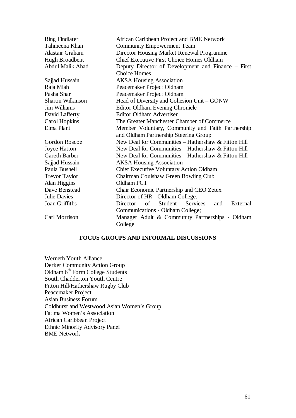| <b>Bing Findlater</b><br>Tahmeena Khan<br>Alastair Graham<br>Hugh Broadbent<br><b>Abdul Malik Ahad</b> | African Caribbean Project and BME Network<br><b>Community Empowerment Team</b><br>Director Housing Market Renewal Programme<br><b>Chief Executive First Choice Homes Oldham</b><br>Deputy Director of Development and Finance – First |
|--------------------------------------------------------------------------------------------------------|---------------------------------------------------------------------------------------------------------------------------------------------------------------------------------------------------------------------------------------|
|                                                                                                        | <b>Choice Homes</b>                                                                                                                                                                                                                   |
| Sajjad Hussain                                                                                         | <b>AKSA Housing Association</b>                                                                                                                                                                                                       |
| Raja Miah                                                                                              | Peacemaker Project Oldham                                                                                                                                                                                                             |
| Pasha Shar                                                                                             | Peacemaker Project Oldham                                                                                                                                                                                                             |
| <b>Sharon Wilkinson</b>                                                                                | Head of Diversity and Cohesion Unit – GONW                                                                                                                                                                                            |
| <b>Jim Williams</b>                                                                                    | <b>Editor Oldham Evening Chronicle</b>                                                                                                                                                                                                |
| David Lafferty                                                                                         | <b>Editor Oldham Advertiser</b>                                                                                                                                                                                                       |
| Carol Hopkins                                                                                          | The Greater Manchester Chamber of Commerce                                                                                                                                                                                            |
| Elma Plant                                                                                             | Member Voluntary, Community and Faith Partnership                                                                                                                                                                                     |
|                                                                                                        | and Oldham Partnership Steering Group                                                                                                                                                                                                 |
| <b>Gordon Roscoe</b>                                                                                   | New Deal for Communities – Hathershaw & Fitton Hill                                                                                                                                                                                   |
| <b>Joyce Hatton</b>                                                                                    | New Deal for Communities – Hathershaw & Fitton Hill                                                                                                                                                                                   |
| Gareth Barber                                                                                          | New Deal for Communities - Hathershaw & Fitton Hill                                                                                                                                                                                   |
| Sajjad Hussain                                                                                         | <b>AKSA Housing Association</b>                                                                                                                                                                                                       |
| Paula Bushell                                                                                          | <b>Chief Executive Voluntary Action Oldham</b>                                                                                                                                                                                        |
| <b>Trevor Taylor</b>                                                                                   | Chairman Coulshaw Green Bowling Club                                                                                                                                                                                                  |
| Alan Higgins                                                                                           | Oldham PCT                                                                                                                                                                                                                            |
| Dave Benstead                                                                                          | Chair Economic Partnership and CEO Zetex                                                                                                                                                                                              |
| <b>Julie Davies</b>                                                                                    | Director of HR - Oldham College.                                                                                                                                                                                                      |
| Joan Griffiths                                                                                         | Student<br><b>Services</b><br>External<br>Director<br>of<br>and                                                                                                                                                                       |
|                                                                                                        | Communications - Oldham College;                                                                                                                                                                                                      |
| Carl Morrison                                                                                          | Manager Adult & Community Partnerships - Oldham<br>College                                                                                                                                                                            |

#### **FOCUS GROUPS AND INFORMAL DISCUSSIONS**

Werneth Youth Alliance Derker Community Action Group Oldham 6<sup>th</sup> Form College Students South Chadderton Youth Centre Fitton Hill/Hathershaw Rugby Club Peacemaker Project Asian Business Forum Coldhurst and Westwood Asian Women's Group Fatima Women's Association African Caribbean Project Ethnic Minority Advisory Panel BME Network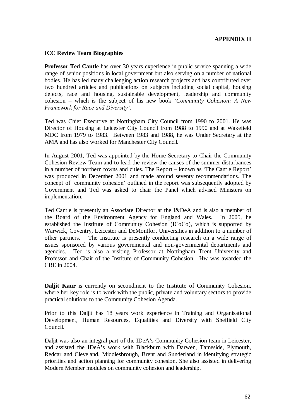#### **APPENDIX II**

#### **ICC Review Team Biographies**

**Professor Ted Cantle** has over 30 years experience in public service spanning a wide range of senior positions in local government but also serving on a number of national bodies. He has led many challenging action research projects and has contributed over two hundred articles and publications on subjects including social capital, housing defects, race and housing, sustainable development, leadership and community cohesion – which is the subject of his new book '*Community Cohesion: A New Framework for Race and Diversity'.*

Ted was Chief Executive at Nottingham City Council from 1990 to 2001. He was Director of Housing at Leicester City Council from 1988 to 1990 and at Wakefield MDC from 1979 to 1983. Between 1983 and 1988, he was Under Secretary at the AMA and has also worked for Manchester City Council.

In August 2001, Ted was appointed by the Home Secretary to Chair the Community Cohesion Review Team and to lead the review the causes of the summer disturbances in a number of northern towns and cities. The Report – known as 'The Cantle Report' was produced in December 2001 and made around seventy recommendations. The concept of 'community cohesion' outlined in the report was subsequently adopted by Government and Ted was asked to chair the Panel which advised Ministers on implementation.

Ted Cantle is presently an Associate Director at the I&DeA and is also a member of the Board of the Environment Agency for England and Wales. In 2005, he established the Institute of Community Cohesion (ICoCo), which is supported by Warwick, Coventry, Leicester and DeMontfort Universities in addition to a number of other partners. The Institute is presently conducting research on a wide range of issues sponsored by various governmental and non-governmental departments and agencies. Ted is also a visiting Professor at Nottingham Trent University and Professor and Chair of the Institute of Community Cohesion. Hw was awarded the CBE in 2004.

**Daljit Kaur** is currently on secondment to the Institute of Community Cohesion, where her key role is to work with the public, private and voluntary sectors to provide practical solutions to the Community Cohesion Agenda.

Prior to this Daljit has 18 years work experience in Training and Organisational Development, Human Resources, Equalities and Diversity with Sheffield City Council.

Daljit was also an integral part of the IDeA's Community Cohesion team in Leicester, and assisted the IDeA's work with Blackburn with Darwen, Tameside, Plymouth, Redcar and Cleveland, Middlesbrough, Brent and Sunderland in identifying strategic priorities and action planning for community cohesion. She also assisted in delivering Modern Member modules on community cohesion and leadership.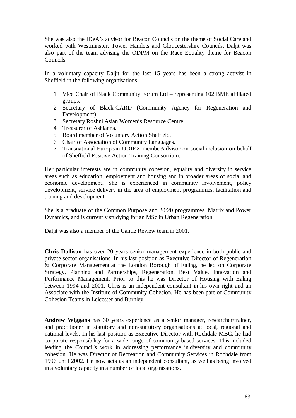She was also the IDeA's advisor for Beacon Councils on the theme of Social Care and worked with Westminster, Tower Hamlets and Gloucestershire Councils. Daljit was also part of the team advising the ODPM on the Race Equality theme for Beacon Councils.

In a voluntary capacity Daljit for the last 15 years has been a strong activist in Sheffield in the following organisations:

- 1 Vice Chair of Black Community Forum Ltd representing 102 BME affiliated groups.
- 2 Secretary of Black-CARD (Community Agency for Regeneration and Development).
- 3 Secretary Roshni Asian Women's Resource Centre
- 4 Treasurer of Ashianna.
- 5 Board member of Voluntary Action Sheffield.
- 6 Chair of Association of Community Languages.
- 7 Transnational European UDIEX member/advisor on social inclusion on behalf of Sheffield Positive Action Training Consortium.

Her particular interests are in community cohesion, equality and diversity in service areas such as education, employment and housing and in broader areas of social and economic development. She is experienced in community involvement, policy development, service delivery in the area of employment programmes, facilitation and training and development.

She is a graduate of the Common Purpose and 20:20 programmes, Matrix and Power Dynamics, and is currently studying for an MSc in Urban Regeneration.

Daljit was also a member of the Cantle Review team in 2001.

**Chris Dallison** has over 20 years senior management experience in both public and private sector organisations. In his last position as Executive Director of Regeneration & Corporate Management at the London Borough of Ealing, he led on Corporate Strategy, Planning and Partnerships, Regeneration, Best Value, Innovation and Performance Management. Prior to this he was Director of Housing with Ealing between 1994 and 2001. Chris is an independent consultant in his own right and an Associate with the Institute of Community Cohesion. He has been part of Community Cohesion Teams in Leicester and Burnley.

**Andrew Wiggans** has 30 years experience as a senior manager, researcher/trainer, and practitioner in statutory and non-statutory organisations at local, regional and national levels. In his last position as Executive Director with Rochdale MBC, he had corporate responsibility for a wide range of community-based services. This included leading the Council's work in addressing performance in diversity and community cohesion. He was Director of Recreation and Community Services in Rochdale from 1996 until 2002. He now acts as an independent consultant, as well as being involved in a voluntary capacity in a number of local organisations.